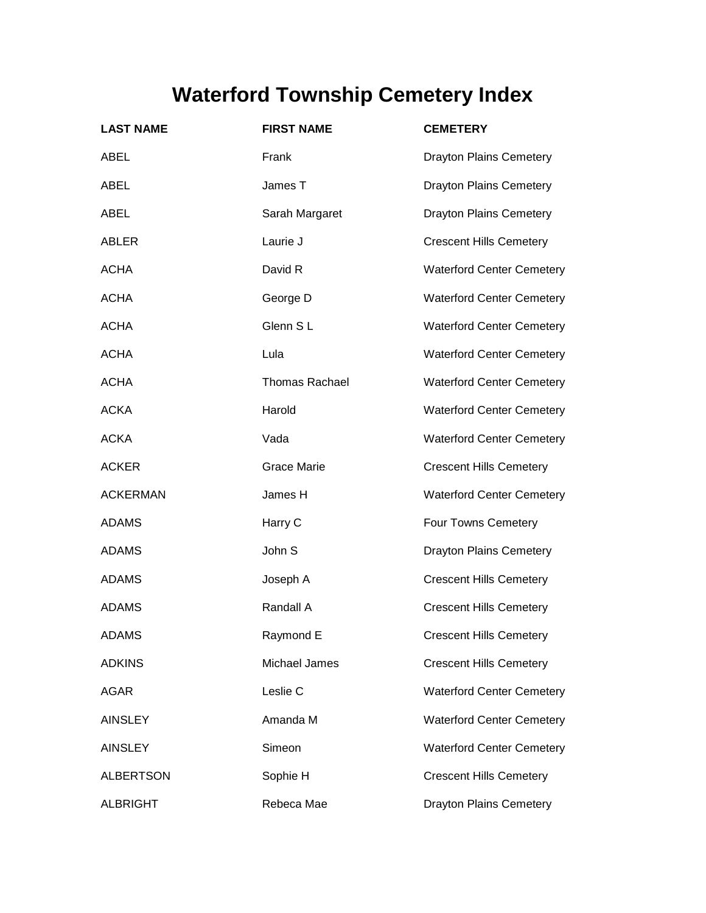## **Waterford Township Cemetery Index**

| <b>LAST NAME</b> | <b>FIRST NAME</b>     | <b>CEMETERY</b>                  |
|------------------|-----------------------|----------------------------------|
| <b>ABEL</b>      | Frank                 | <b>Drayton Plains Cemetery</b>   |
| ABEL             | James T               | <b>Drayton Plains Cemetery</b>   |
| ABEL             | Sarah Margaret        | <b>Drayton Plains Cemetery</b>   |
| ABLER            | Laurie J              | <b>Crescent Hills Cemetery</b>   |
| <b>ACHA</b>      | David R               | <b>Waterford Center Cemetery</b> |
| <b>ACHA</b>      | George D              | <b>Waterford Center Cemetery</b> |
| <b>ACHA</b>      | Glenn SL              | <b>Waterford Center Cemetery</b> |
| <b>ACHA</b>      | Lula                  | <b>Waterford Center Cemetery</b> |
| <b>ACHA</b>      | <b>Thomas Rachael</b> | <b>Waterford Center Cemetery</b> |
| <b>ACKA</b>      | Harold                | <b>Waterford Center Cemetery</b> |
| <b>ACKA</b>      | Vada                  | <b>Waterford Center Cemetery</b> |
| <b>ACKER</b>     | <b>Grace Marie</b>    | <b>Crescent Hills Cemetery</b>   |
| <b>ACKERMAN</b>  | James H               | <b>Waterford Center Cemetery</b> |
| <b>ADAMS</b>     | Harry C               | Four Towns Cemetery              |
| <b>ADAMS</b>     | John S                | <b>Drayton Plains Cemetery</b>   |
| <b>ADAMS</b>     | Joseph A              | <b>Crescent Hills Cemetery</b>   |
| <b>ADAMS</b>     | Randall A             | <b>Crescent Hills Cemetery</b>   |
| <b>ADAMS</b>     | Raymond E             | <b>Crescent Hills Cemetery</b>   |
| <b>ADKINS</b>    | Michael James         | <b>Crescent Hills Cemetery</b>   |
| <b>AGAR</b>      | Leslie C              | <b>Waterford Center Cemetery</b> |
| <b>AINSLEY</b>   | Amanda M              | <b>Waterford Center Cemetery</b> |
| <b>AINSLEY</b>   | Simeon                | <b>Waterford Center Cemetery</b> |
| <b>ALBERTSON</b> | Sophie H              | <b>Crescent Hills Cemetery</b>   |
| <b>ALBRIGHT</b>  | Rebeca Mae            | <b>Drayton Plains Cemetery</b>   |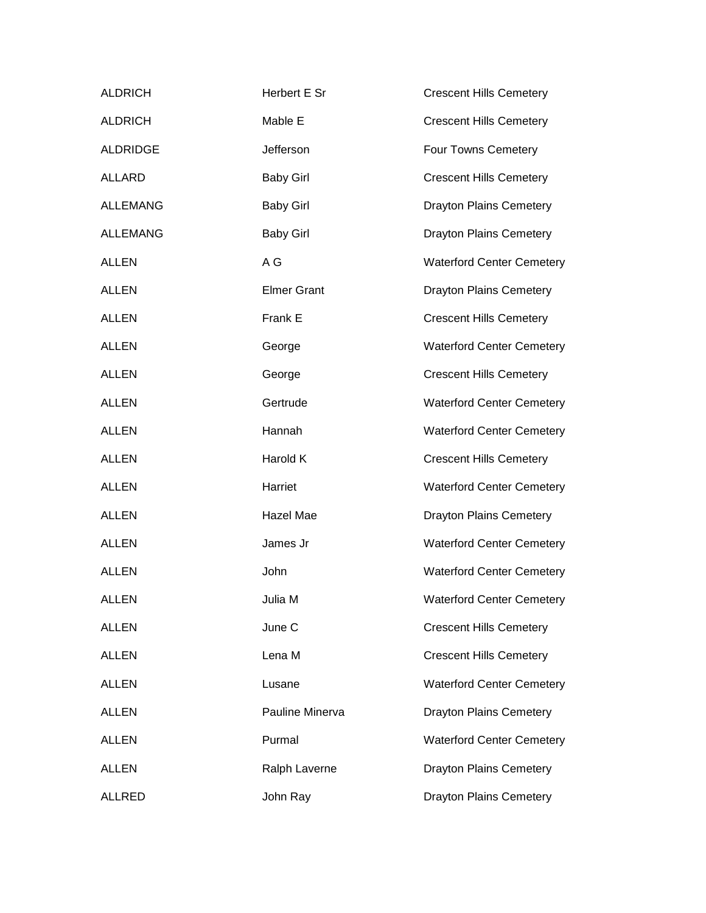| <b>ALDRICH</b>  | Herbert E Sr       | <b>Crescent Hills Cemetery</b>   |
|-----------------|--------------------|----------------------------------|
| <b>ALDRICH</b>  | Mable E            | <b>Crescent Hills Cemetery</b>   |
| <b>ALDRIDGE</b> | Jefferson          | Four Towns Cemetery              |
| <b>ALLARD</b>   | <b>Baby Girl</b>   | <b>Crescent Hills Cemetery</b>   |
| <b>ALLEMANG</b> | <b>Baby Girl</b>   | <b>Drayton Plains Cemetery</b>   |
| <b>ALLEMANG</b> | <b>Baby Girl</b>   | <b>Drayton Plains Cemetery</b>   |
| <b>ALLEN</b>    | A G                | <b>Waterford Center Cemetery</b> |
| <b>ALLEN</b>    | <b>Elmer Grant</b> | <b>Drayton Plains Cemetery</b>   |
| <b>ALLEN</b>    | Frank E            | <b>Crescent Hills Cemetery</b>   |
| <b>ALLEN</b>    | George             | <b>Waterford Center Cemetery</b> |
| <b>ALLEN</b>    | George             | <b>Crescent Hills Cemetery</b>   |
| <b>ALLEN</b>    | Gertrude           | <b>Waterford Center Cemetery</b> |
| <b>ALLEN</b>    | Hannah             | <b>Waterford Center Cemetery</b> |
| <b>ALLEN</b>    | Harold K           | <b>Crescent Hills Cemetery</b>   |
| <b>ALLEN</b>    | Harriet            | <b>Waterford Center Cemetery</b> |
| <b>ALLEN</b>    | Hazel Mae          | <b>Drayton Plains Cemetery</b>   |
| <b>ALLEN</b>    | James Jr           | <b>Waterford Center Cemetery</b> |
| <b>ALLEN</b>    | John               | <b>Waterford Center Cemetery</b> |
| <b>ALLEN</b>    | Julia M            | <b>Waterford Center Cemetery</b> |
| <b>ALLEN</b>    | June C             | <b>Crescent Hills Cemetery</b>   |
| <b>ALLEN</b>    | Lena M             | <b>Crescent Hills Cemetery</b>   |
| <b>ALLEN</b>    | Lusane             | <b>Waterford Center Cemetery</b> |
| <b>ALLEN</b>    | Pauline Minerva    | <b>Drayton Plains Cemetery</b>   |
| <b>ALLEN</b>    | Purmal             | <b>Waterford Center Cemetery</b> |
| <b>ALLEN</b>    | Ralph Laverne      | <b>Drayton Plains Cemetery</b>   |
| <b>ALLRED</b>   | John Ray           | <b>Drayton Plains Cemetery</b>   |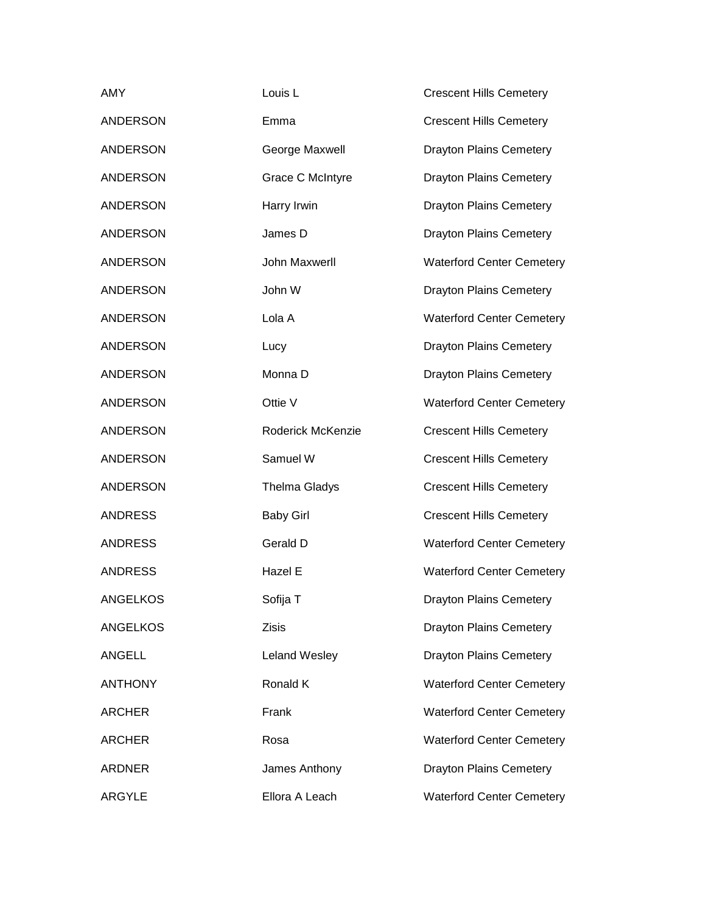| AMY             | Louis <sub>L</sub>   | <b>Crescent Hills Cemetery</b>   |
|-----------------|----------------------|----------------------------------|
| <b>ANDERSON</b> | Emma                 | <b>Crescent Hills Cemetery</b>   |
| <b>ANDERSON</b> | George Maxwell       | <b>Drayton Plains Cemetery</b>   |
| <b>ANDERSON</b> | Grace C McIntyre     | <b>Drayton Plains Cemetery</b>   |
| <b>ANDERSON</b> | Harry Irwin          | <b>Drayton Plains Cemetery</b>   |
| <b>ANDERSON</b> | James D              | <b>Drayton Plains Cemetery</b>   |
| <b>ANDERSON</b> | John Maxwerll        | <b>Waterford Center Cemetery</b> |
| <b>ANDERSON</b> | John W               | <b>Drayton Plains Cemetery</b>   |
| <b>ANDERSON</b> | Lola A               | <b>Waterford Center Cemetery</b> |
| <b>ANDERSON</b> | Lucy                 | <b>Drayton Plains Cemetery</b>   |
| <b>ANDERSON</b> | Monna D              | <b>Drayton Plains Cemetery</b>   |
| <b>ANDERSON</b> | Ottie V              | <b>Waterford Center Cemetery</b> |
| <b>ANDERSON</b> | Roderick McKenzie    | <b>Crescent Hills Cemetery</b>   |
| <b>ANDERSON</b> | Samuel W             | <b>Crescent Hills Cemetery</b>   |
| <b>ANDERSON</b> | <b>Thelma Gladys</b> | <b>Crescent Hills Cemetery</b>   |
| <b>ANDRESS</b>  | <b>Baby Girl</b>     | <b>Crescent Hills Cemetery</b>   |
| <b>ANDRESS</b>  | Gerald D             | <b>Waterford Center Cemetery</b> |
| <b>ANDRESS</b>  | Hazel E              | <b>Waterford Center Cemetery</b> |
| <b>ANGELKOS</b> | Sofija T             | <b>Drayton Plains Cemetery</b>   |
| <b>ANGELKOS</b> | <b>Zisis</b>         | <b>Drayton Plains Cemetery</b>   |
| <b>ANGELL</b>   | Leland Wesley        | <b>Drayton Plains Cemetery</b>   |
| <b>ANTHONY</b>  | Ronald K             | <b>Waterford Center Cemetery</b> |
| <b>ARCHER</b>   | Frank                | <b>Waterford Center Cemetery</b> |
| <b>ARCHER</b>   | Rosa                 | <b>Waterford Center Cemetery</b> |
| <b>ARDNER</b>   | James Anthony        | <b>Drayton Plains Cemetery</b>   |
| <b>ARGYLE</b>   | Ellora A Leach       | <b>Waterford Center Cemetery</b> |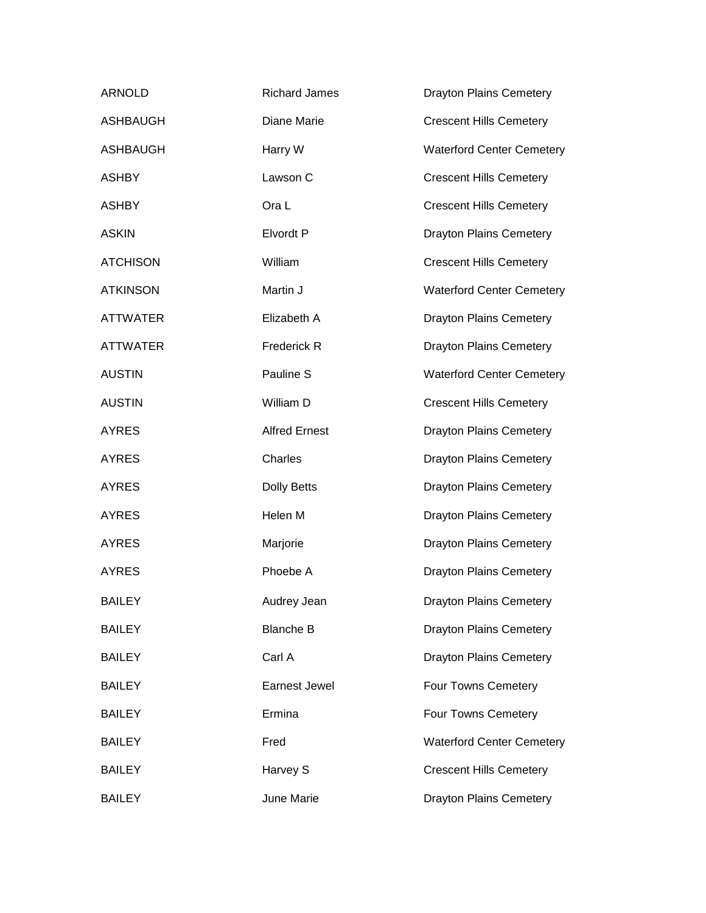| <b>ARNOLD</b>   | <b>Richard James</b> | <b>Drayton Plains Cemetery</b>   |
|-----------------|----------------------|----------------------------------|
| <b>ASHBAUGH</b> | Diane Marie          | <b>Crescent Hills Cemetery</b>   |
| <b>ASHBAUGH</b> | Harry W              | <b>Waterford Center Cemetery</b> |
| <b>ASHBY</b>    | Lawson C             | <b>Crescent Hills Cemetery</b>   |
| <b>ASHBY</b>    | Ora L                | <b>Crescent Hills Cemetery</b>   |
| <b>ASKIN</b>    | Elvordt P            | <b>Drayton Plains Cemetery</b>   |
| <b>ATCHISON</b> | William              | <b>Crescent Hills Cemetery</b>   |
| <b>ATKINSON</b> | Martin J             | <b>Waterford Center Cemetery</b> |
| <b>ATTWATER</b> | Elizabeth A          | <b>Drayton Plains Cemetery</b>   |
| <b>ATTWATER</b> | Frederick R          | <b>Drayton Plains Cemetery</b>   |
| <b>AUSTIN</b>   | Pauline S            | <b>Waterford Center Cemetery</b> |
| <b>AUSTIN</b>   | William D            | <b>Crescent Hills Cemetery</b>   |
| <b>AYRES</b>    | <b>Alfred Ernest</b> | <b>Drayton Plains Cemetery</b>   |
| <b>AYRES</b>    | Charles              | <b>Drayton Plains Cemetery</b>   |
| <b>AYRES</b>    | Dolly Betts          | <b>Drayton Plains Cemetery</b>   |
| <b>AYRES</b>    | Helen M              | <b>Drayton Plains Cemetery</b>   |
| <b>AYRES</b>    | Marjorie             | <b>Drayton Plains Cemetery</b>   |
| <b>AYRES</b>    | Phoebe A             | <b>Drayton Plains Cemetery</b>   |
| <b>BAILEY</b>   | Audrey Jean          | <b>Drayton Plains Cemetery</b>   |
| <b>BAILEY</b>   | <b>Blanche B</b>     | <b>Drayton Plains Cemetery</b>   |
| <b>BAILEY</b>   | Carl A               | <b>Drayton Plains Cemetery</b>   |
| <b>BAILEY</b>   | Earnest Jewel        | Four Towns Cemetery              |
| <b>BAILEY</b>   | Ermina               | <b>Four Towns Cemetery</b>       |
| <b>BAILEY</b>   | Fred                 | <b>Waterford Center Cemetery</b> |
| <b>BAILEY</b>   | Harvey S             | <b>Crescent Hills Cemetery</b>   |
| <b>BAILEY</b>   | June Marie           | <b>Drayton Plains Cemetery</b>   |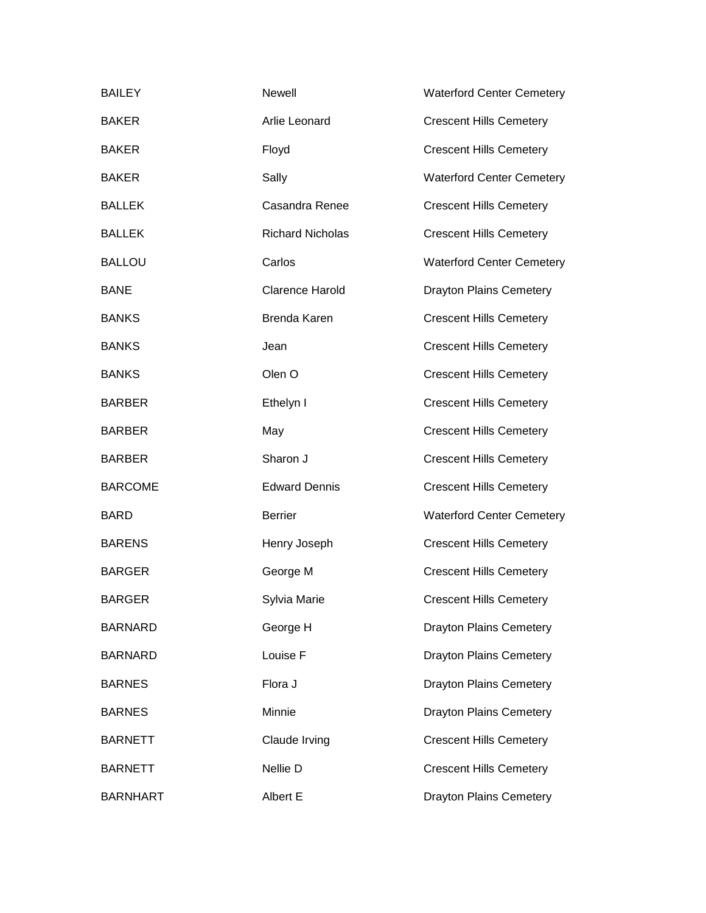| <b>BAILEY</b>   | Newell                  | <b>Waterford Center Cemetery</b> |
|-----------------|-------------------------|----------------------------------|
| <b>BAKER</b>    | Arlie Leonard           | <b>Crescent Hills Cemetery</b>   |
| <b>BAKER</b>    | Floyd                   | <b>Crescent Hills Cemetery</b>   |
| <b>BAKER</b>    | Sally                   | <b>Waterford Center Cemetery</b> |
| <b>BALLEK</b>   | Casandra Renee          | <b>Crescent Hills Cemetery</b>   |
| <b>BALLEK</b>   | <b>Richard Nicholas</b> | <b>Crescent Hills Cemetery</b>   |
| <b>BALLOU</b>   | Carlos                  | <b>Waterford Center Cemetery</b> |
| <b>BANE</b>     | <b>Clarence Harold</b>  | <b>Drayton Plains Cemetery</b>   |
| <b>BANKS</b>    | <b>Brenda Karen</b>     | <b>Crescent Hills Cemetery</b>   |
| <b>BANKS</b>    | Jean                    | <b>Crescent Hills Cemetery</b>   |
| <b>BANKS</b>    | Olen <sub>O</sub>       | <b>Crescent Hills Cemetery</b>   |
| <b>BARBER</b>   | Ethelyn I               | <b>Crescent Hills Cemetery</b>   |
| <b>BARBER</b>   | May                     | <b>Crescent Hills Cemetery</b>   |
| <b>BARBER</b>   | Sharon J                | <b>Crescent Hills Cemetery</b>   |
| <b>BARCOME</b>  | <b>Edward Dennis</b>    | <b>Crescent Hills Cemetery</b>   |
| <b>BARD</b>     | <b>Berrier</b>          | <b>Waterford Center Cemetery</b> |
| <b>BARENS</b>   | Henry Joseph            | <b>Crescent Hills Cemetery</b>   |
| <b>BARGER</b>   | George M                | <b>Crescent Hills Cemetery</b>   |
| <b>BARGER</b>   | Sylvia Marie            | <b>Crescent Hills Cemetery</b>   |
| <b>BARNARD</b>  | George H                | <b>Drayton Plains Cemetery</b>   |
| <b>BARNARD</b>  | Louise F                | <b>Drayton Plains Cemetery</b>   |
| <b>BARNES</b>   | Flora J                 | <b>Drayton Plains Cemetery</b>   |
| <b>BARNES</b>   | Minnie                  | <b>Drayton Plains Cemetery</b>   |
| <b>BARNETT</b>  | Claude Irving           | <b>Crescent Hills Cemetery</b>   |
| <b>BARNETT</b>  | Nellie D                | <b>Crescent Hills Cemetery</b>   |
| <b>BARNHART</b> | Albert E                | <b>Drayton Plains Cemetery</b>   |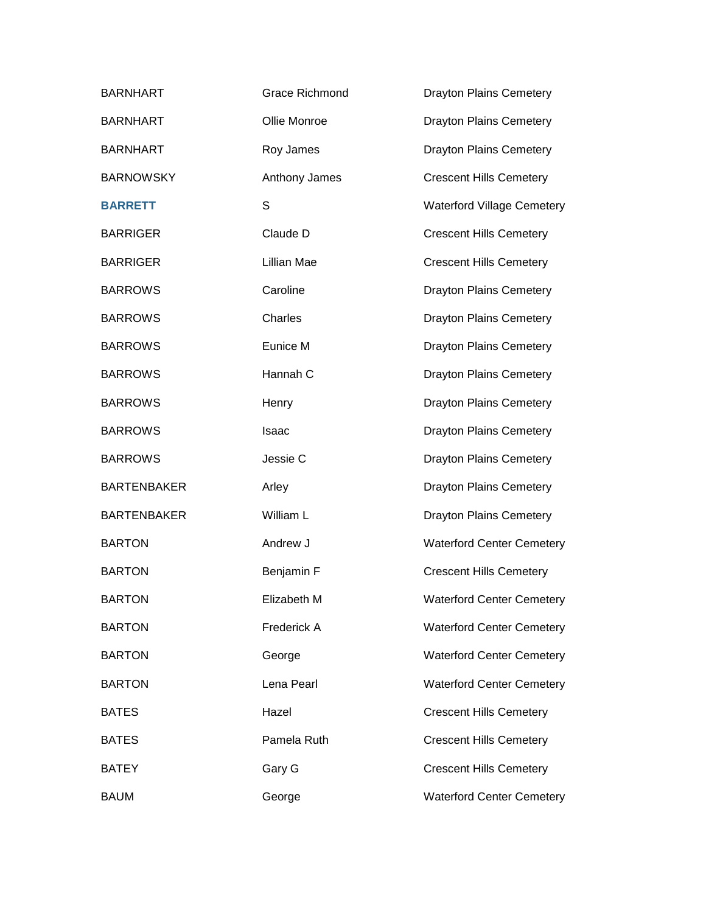| <b>BARNHART</b>    | <b>Grace Richmond</b> | <b>Drayton Plains Cemetery</b>    |
|--------------------|-----------------------|-----------------------------------|
| <b>BARNHART</b>    | Ollie Monroe          | <b>Drayton Plains Cemetery</b>    |
| <b>BARNHART</b>    | Roy James             | <b>Drayton Plains Cemetery</b>    |
| <b>BARNOWSKY</b>   | Anthony James         | <b>Crescent Hills Cemetery</b>    |
| <b>BARRETT</b>     | S                     | <b>Waterford Village Cemetery</b> |
| <b>BARRIGER</b>    | Claude D              | <b>Crescent Hills Cemetery</b>    |
| <b>BARRIGER</b>    | Lillian Mae           | <b>Crescent Hills Cemetery</b>    |
| <b>BARROWS</b>     | Caroline              | <b>Drayton Plains Cemetery</b>    |
| <b>BARROWS</b>     | Charles               | <b>Drayton Plains Cemetery</b>    |
| <b>BARROWS</b>     | Eunice M              | <b>Drayton Plains Cemetery</b>    |
| <b>BARROWS</b>     | Hannah C              | <b>Drayton Plains Cemetery</b>    |
| <b>BARROWS</b>     | Henry                 | <b>Drayton Plains Cemetery</b>    |
| <b>BARROWS</b>     | Isaac                 | <b>Drayton Plains Cemetery</b>    |
| <b>BARROWS</b>     | Jessie C              | <b>Drayton Plains Cemetery</b>    |
| <b>BARTENBAKER</b> | Arley                 | <b>Drayton Plains Cemetery</b>    |
| <b>BARTENBAKER</b> | William L             | <b>Drayton Plains Cemetery</b>    |
| <b>BARTON</b>      | Andrew J              | <b>Waterford Center Cemetery</b>  |
| <b>BARTON</b>      | Benjamin F            | <b>Crescent Hills Cemetery</b>    |
| <b>BARTON</b>      | Elizabeth M           | <b>Waterford Center Cemetery</b>  |
| <b>BARTON</b>      | Frederick A           | <b>Waterford Center Cemetery</b>  |
| <b>BARTON</b>      | George                | <b>Waterford Center Cemetery</b>  |
| <b>BARTON</b>      | Lena Pearl            | <b>Waterford Center Cemetery</b>  |
| <b>BATES</b>       | Hazel                 | <b>Crescent Hills Cemetery</b>    |
| <b>BATES</b>       | Pamela Ruth           | <b>Crescent Hills Cemetery</b>    |
| <b>BATEY</b>       | Gary G                | <b>Crescent Hills Cemetery</b>    |
| <b>BAUM</b>        | George                | <b>Waterford Center Cemetery</b>  |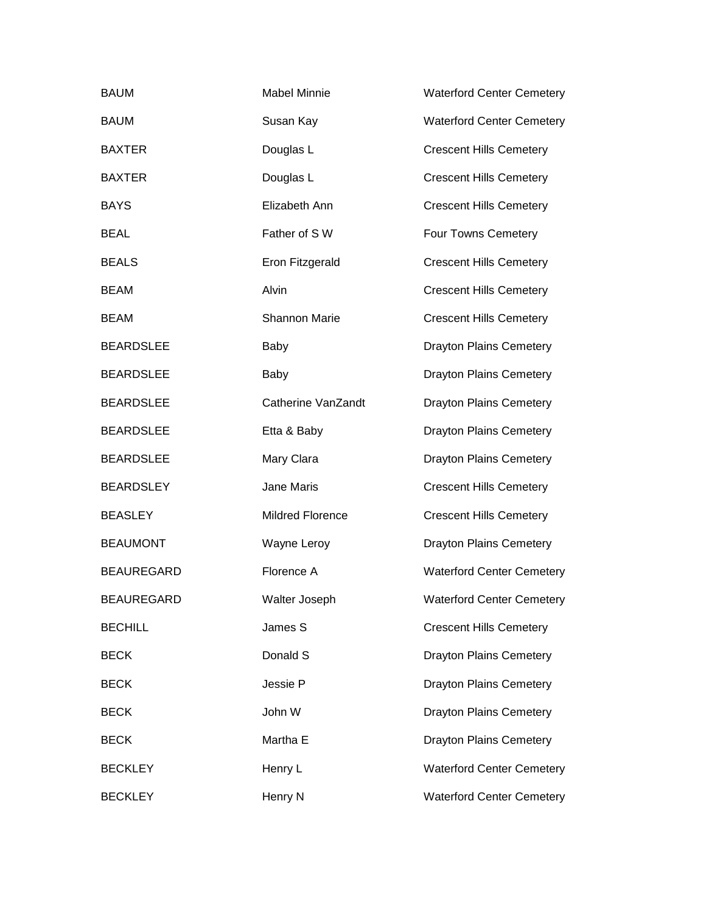| <b>BAUM</b>       | <b>Mabel Minnie</b>     | <b>Waterford Center Cemetery</b> |
|-------------------|-------------------------|----------------------------------|
| <b>BAUM</b>       | Susan Kay               | <b>Waterford Center Cemetery</b> |
| <b>BAXTER</b>     | Douglas L               | <b>Crescent Hills Cemetery</b>   |
| <b>BAXTER</b>     | Douglas L               | <b>Crescent Hills Cemetery</b>   |
| <b>BAYS</b>       | Elizabeth Ann           | <b>Crescent Hills Cemetery</b>   |
| <b>BEAL</b>       | Father of SW            | Four Towns Cemetery              |
| <b>BEALS</b>      | Eron Fitzgerald         | <b>Crescent Hills Cemetery</b>   |
| <b>BEAM</b>       | Alvin                   | <b>Crescent Hills Cemetery</b>   |
| <b>BEAM</b>       | <b>Shannon Marie</b>    | <b>Crescent Hills Cemetery</b>   |
| <b>BEARDSLEE</b>  | Baby                    | <b>Drayton Plains Cemetery</b>   |
| <b>BEARDSLEE</b>  | Baby                    | <b>Drayton Plains Cemetery</b>   |
| <b>BEARDSLEE</b>  | Catherine VanZandt      | <b>Drayton Plains Cemetery</b>   |
| <b>BEARDSLEE</b>  | Etta & Baby             | <b>Drayton Plains Cemetery</b>   |
| <b>BEARDSLEE</b>  | Mary Clara              | <b>Drayton Plains Cemetery</b>   |
| <b>BEARDSLEY</b>  | Jane Maris              | <b>Crescent Hills Cemetery</b>   |
| <b>BEASLEY</b>    | <b>Mildred Florence</b> | <b>Crescent Hills Cemetery</b>   |
| <b>BEAUMONT</b>   | Wayne Leroy             | <b>Drayton Plains Cemetery</b>   |
| <b>BEAUREGARD</b> | Florence A              | <b>Waterford Center Cemetery</b> |
| <b>BEAUREGARD</b> | Walter Joseph           | <b>Waterford Center Cemetery</b> |
| <b>BECHILL</b>    | James S                 | <b>Crescent Hills Cemetery</b>   |
| <b>BECK</b>       | Donald S                | <b>Drayton Plains Cemetery</b>   |
| <b>BECK</b>       | Jessie P                | <b>Drayton Plains Cemetery</b>   |
| <b>BECK</b>       | John W                  | <b>Drayton Plains Cemetery</b>   |
| <b>BECK</b>       | Martha E                | <b>Drayton Plains Cemetery</b>   |
| <b>BECKLEY</b>    | Henry L                 | <b>Waterford Center Cemetery</b> |
| <b>BECKLEY</b>    | Henry N                 | <b>Waterford Center Cemetery</b> |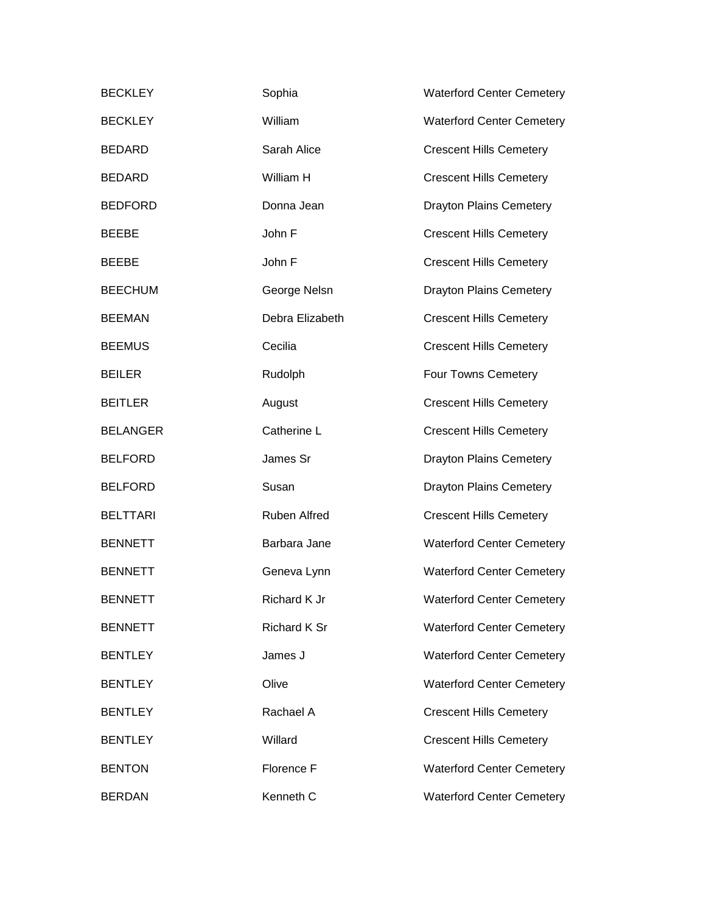| <b>BECKLEY</b>  | Sophia          | <b>Waterford Center Cemetery</b> |
|-----------------|-----------------|----------------------------------|
| <b>BECKLEY</b>  | William         | <b>Waterford Center Cemetery</b> |
| <b>BEDARD</b>   | Sarah Alice     | <b>Crescent Hills Cemetery</b>   |
| <b>BEDARD</b>   | William H       | <b>Crescent Hills Cemetery</b>   |
| <b>BEDFORD</b>  | Donna Jean      | <b>Drayton Plains Cemetery</b>   |
| <b>BEEBE</b>    | John F          | <b>Crescent Hills Cemetery</b>   |
| <b>BEEBE</b>    | John F          | <b>Crescent Hills Cemetery</b>   |
| <b>BEECHUM</b>  | George Nelsn    | <b>Drayton Plains Cemetery</b>   |
| <b>BEEMAN</b>   | Debra Elizabeth | <b>Crescent Hills Cemetery</b>   |
| <b>BEEMUS</b>   | Cecilia         | <b>Crescent Hills Cemetery</b>   |
| <b>BEILER</b>   | Rudolph         | Four Towns Cemetery              |
| <b>BEITLER</b>  | August          | <b>Crescent Hills Cemetery</b>   |
| <b>BELANGER</b> | Catherine L     | <b>Crescent Hills Cemetery</b>   |
| <b>BELFORD</b>  | James Sr        | <b>Drayton Plains Cemetery</b>   |
| <b>BELFORD</b>  | Susan           | <b>Drayton Plains Cemetery</b>   |
| <b>BELTTARI</b> | Ruben Alfred    | <b>Crescent Hills Cemetery</b>   |
| <b>BENNETT</b>  | Barbara Jane    | <b>Waterford Center Cemetery</b> |
| <b>BENNETT</b>  | Geneva Lynn     | <b>Waterford Center Cemetery</b> |
| <b>BENNETT</b>  | Richard K Jr    | <b>Waterford Center Cemetery</b> |
| <b>BENNETT</b>  | Richard K Sr    | <b>Waterford Center Cemetery</b> |
| <b>BENTLEY</b>  | James J         | <b>Waterford Center Cemetery</b> |
| <b>BENTLEY</b>  | Olive           | <b>Waterford Center Cemetery</b> |
| <b>BENTLEY</b>  | Rachael A       | <b>Crescent Hills Cemetery</b>   |
| <b>BENTLEY</b>  | Willard         | <b>Crescent Hills Cemetery</b>   |
| <b>BENTON</b>   | Florence F      | <b>Waterford Center Cemetery</b> |
| <b>BERDAN</b>   | Kenneth C       | <b>Waterford Center Cemetery</b> |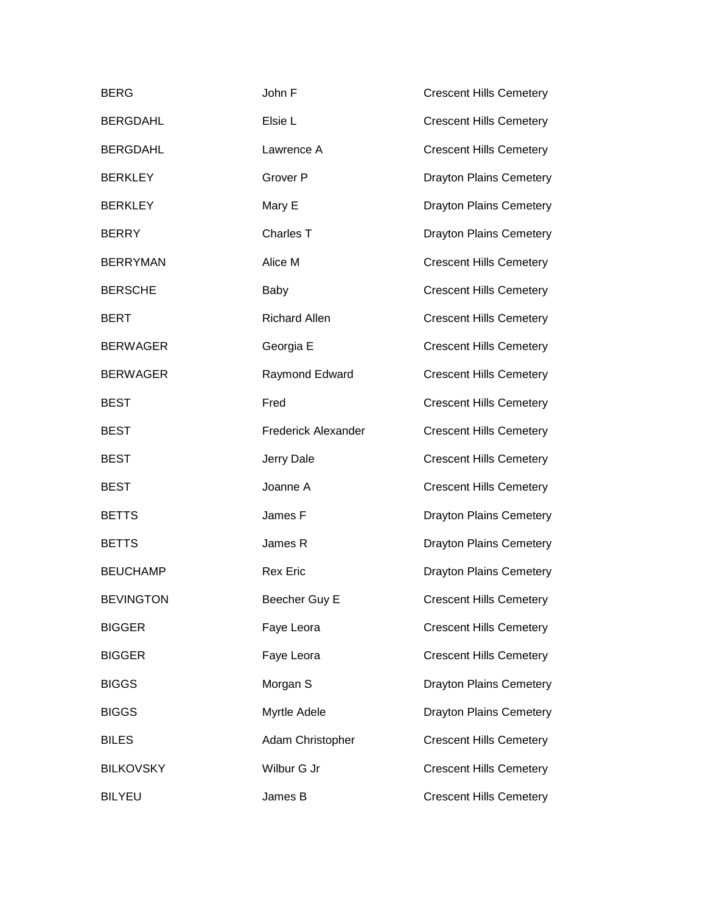| <b>BERG</b>      | John F                     | <b>Crescent Hills Cemetery</b> |
|------------------|----------------------------|--------------------------------|
| <b>BERGDAHL</b>  | Elsie L                    | <b>Crescent Hills Cemetery</b> |
| <b>BERGDAHL</b>  | Lawrence A                 | <b>Crescent Hills Cemetery</b> |
| <b>BERKLEY</b>   | Grover P                   | <b>Drayton Plains Cemetery</b> |
| <b>BERKLEY</b>   | Mary E                     | <b>Drayton Plains Cemetery</b> |
| <b>BERRY</b>     | Charles T                  | <b>Drayton Plains Cemetery</b> |
| <b>BERRYMAN</b>  | Alice M                    | <b>Crescent Hills Cemetery</b> |
| <b>BERSCHE</b>   | Baby                       | <b>Crescent Hills Cemetery</b> |
| <b>BERT</b>      | <b>Richard Allen</b>       | <b>Crescent Hills Cemetery</b> |
| <b>BERWAGER</b>  | Georgia E                  | <b>Crescent Hills Cemetery</b> |
| <b>BERWAGER</b>  | Raymond Edward             | <b>Crescent Hills Cemetery</b> |
| <b>BEST</b>      | Fred                       | <b>Crescent Hills Cemetery</b> |
| <b>BEST</b>      | <b>Frederick Alexander</b> | <b>Crescent Hills Cemetery</b> |
| <b>BEST</b>      | Jerry Dale                 | <b>Crescent Hills Cemetery</b> |
| <b>BEST</b>      | Joanne A                   | <b>Crescent Hills Cemetery</b> |
| <b>BETTS</b>     | James F                    | <b>Drayton Plains Cemetery</b> |
| <b>BETTS</b>     | James R                    | <b>Drayton Plains Cemetery</b> |
| <b>BEUCHAMP</b>  | <b>Rex Eric</b>            | <b>Drayton Plains Cemetery</b> |
| <b>BEVINGTON</b> | Beecher Guy E              | <b>Crescent Hills Cemetery</b> |
| <b>BIGGER</b>    | Faye Leora                 | <b>Crescent Hills Cemetery</b> |
| <b>BIGGER</b>    | Faye Leora                 | <b>Crescent Hills Cemetery</b> |
| <b>BIGGS</b>     | Morgan S                   | <b>Drayton Plains Cemetery</b> |
| <b>BIGGS</b>     | Myrtle Adele               | <b>Drayton Plains Cemetery</b> |
| <b>BILES</b>     | Adam Christopher           | <b>Crescent Hills Cemetery</b> |
| <b>BILKOVSKY</b> | Wilbur G Jr                | <b>Crescent Hills Cemetery</b> |
| <b>BILYEU</b>    | James B                    | <b>Crescent Hills Cemetery</b> |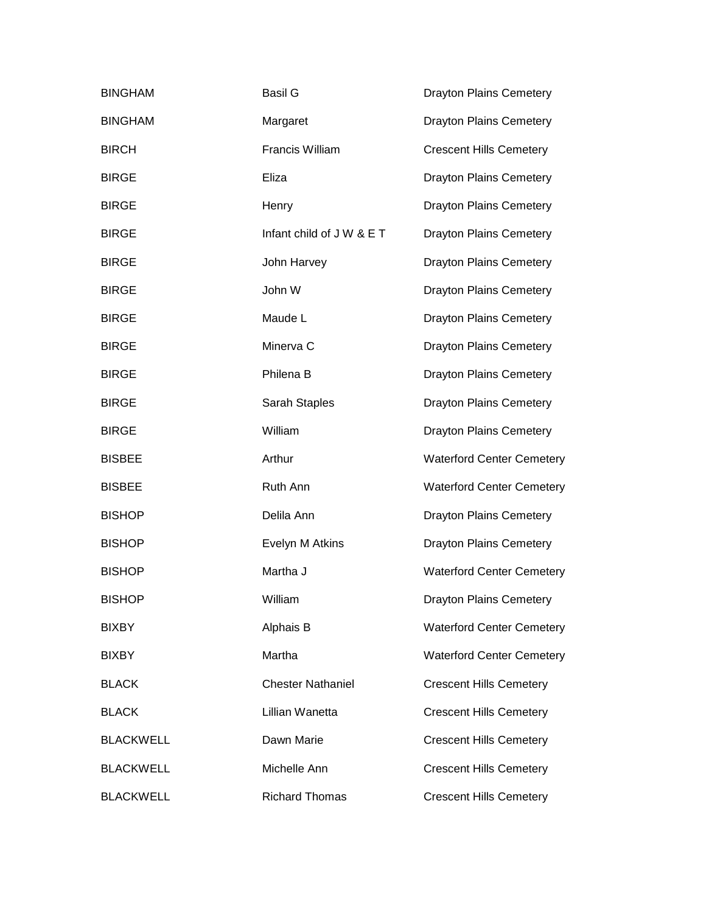| <b>BINGHAM</b>   | <b>Basil G</b>            | <b>Drayton Plains Cemetery</b>   |
|------------------|---------------------------|----------------------------------|
| <b>BINGHAM</b>   | Margaret                  | <b>Drayton Plains Cemetery</b>   |
| <b>BIRCH</b>     | Francis William           | <b>Crescent Hills Cemetery</b>   |
| <b>BIRGE</b>     | Eliza                     | <b>Drayton Plains Cemetery</b>   |
| <b>BIRGE</b>     | Henry                     | <b>Drayton Plains Cemetery</b>   |
| <b>BIRGE</b>     | Infant child of J W & E T | <b>Drayton Plains Cemetery</b>   |
| <b>BIRGE</b>     | John Harvey               | <b>Drayton Plains Cemetery</b>   |
| <b>BIRGE</b>     | John W                    | <b>Drayton Plains Cemetery</b>   |
| <b>BIRGE</b>     | Maude L                   | <b>Drayton Plains Cemetery</b>   |
| <b>BIRGE</b>     | Minerva C                 | <b>Drayton Plains Cemetery</b>   |
| <b>BIRGE</b>     | Philena B                 | <b>Drayton Plains Cemetery</b>   |
| <b>BIRGE</b>     | Sarah Staples             | <b>Drayton Plains Cemetery</b>   |
| <b>BIRGE</b>     | William                   | <b>Drayton Plains Cemetery</b>   |
| <b>BISBEE</b>    | Arthur                    | <b>Waterford Center Cemetery</b> |
| <b>BISBEE</b>    | Ruth Ann                  | <b>Waterford Center Cemetery</b> |
| <b>BISHOP</b>    | Delila Ann                | <b>Drayton Plains Cemetery</b>   |
| <b>BISHOP</b>    | Evelyn M Atkins           | <b>Drayton Plains Cemetery</b>   |
| <b>BISHOP</b>    | Martha J                  | <b>Waterford Center Cemetery</b> |
| <b>BISHOP</b>    | William                   | <b>Drayton Plains Cemetery</b>   |
| <b>BIXBY</b>     | Alphais B                 | <b>Waterford Center Cemetery</b> |
| <b>BIXBY</b>     | Martha                    | <b>Waterford Center Cemetery</b> |
| <b>BLACK</b>     | <b>Chester Nathaniel</b>  | <b>Crescent Hills Cemetery</b>   |
| <b>BLACK</b>     | Lillian Wanetta           | <b>Crescent Hills Cemetery</b>   |
| <b>BLACKWELL</b> | Dawn Marie                | <b>Crescent Hills Cemetery</b>   |
| <b>BLACKWELL</b> | Michelle Ann              | <b>Crescent Hills Cemetery</b>   |
| <b>BLACKWELL</b> | <b>Richard Thomas</b>     | <b>Crescent Hills Cemetery</b>   |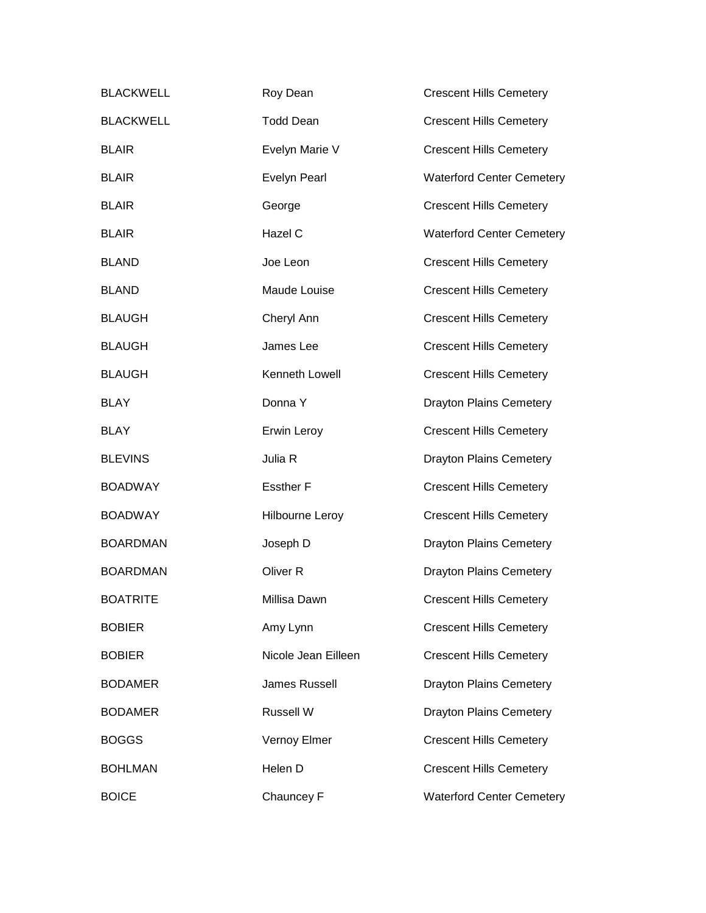| <b>BLACKWELL</b> | Roy Dean             | <b>Crescent Hills Cemetery</b>   |
|------------------|----------------------|----------------------------------|
| <b>BLACKWELL</b> | <b>Todd Dean</b>     | <b>Crescent Hills Cemetery</b>   |
| <b>BLAIR</b>     | Evelyn Marie V       | <b>Crescent Hills Cemetery</b>   |
| <b>BLAIR</b>     | <b>Evelyn Pearl</b>  | <b>Waterford Center Cemetery</b> |
| <b>BLAIR</b>     | George               | <b>Crescent Hills Cemetery</b>   |
| <b>BLAIR</b>     | Hazel C              | <b>Waterford Center Cemetery</b> |
| <b>BLAND</b>     | Joe Leon             | <b>Crescent Hills Cemetery</b>   |
| <b>BLAND</b>     | Maude Louise         | <b>Crescent Hills Cemetery</b>   |
| <b>BLAUGH</b>    | Cheryl Ann           | <b>Crescent Hills Cemetery</b>   |
| <b>BLAUGH</b>    | James Lee            | <b>Crescent Hills Cemetery</b>   |
| <b>BLAUGH</b>    | Kenneth Lowell       | <b>Crescent Hills Cemetery</b>   |
| <b>BLAY</b>      | Donna Y              | <b>Drayton Plains Cemetery</b>   |
| <b>BLAY</b>      | Erwin Leroy          | <b>Crescent Hills Cemetery</b>   |
| <b>BLEVINS</b>   | Julia R              | <b>Drayton Plains Cemetery</b>   |
| <b>BOADWAY</b>   | <b>Essther F</b>     | <b>Crescent Hills Cemetery</b>   |
| <b>BOADWAY</b>   | Hilbourne Leroy      | <b>Crescent Hills Cemetery</b>   |
| <b>BOARDMAN</b>  | Joseph D             | <b>Drayton Plains Cemetery</b>   |
| <b>BOARDMAN</b>  | Oliver <sub>R</sub>  | <b>Drayton Plains Cemetery</b>   |
| <b>BOATRITE</b>  | Millisa Dawn         | <b>Crescent Hills Cemetery</b>   |
| <b>BOBIER</b>    | Amy Lynn             | <b>Crescent Hills Cemetery</b>   |
| <b>BOBIER</b>    | Nicole Jean Eilleen  | <b>Crescent Hills Cemetery</b>   |
| <b>BODAMER</b>   | <b>James Russell</b> | <b>Drayton Plains Cemetery</b>   |
| <b>BODAMER</b>   | Russell W            | <b>Drayton Plains Cemetery</b>   |
| <b>BOGGS</b>     | Vernoy Elmer         | <b>Crescent Hills Cemetery</b>   |
| <b>BOHLMAN</b>   | Helen D              | <b>Crescent Hills Cemetery</b>   |
| <b>BOICE</b>     | Chauncey F           | <b>Waterford Center Cemetery</b> |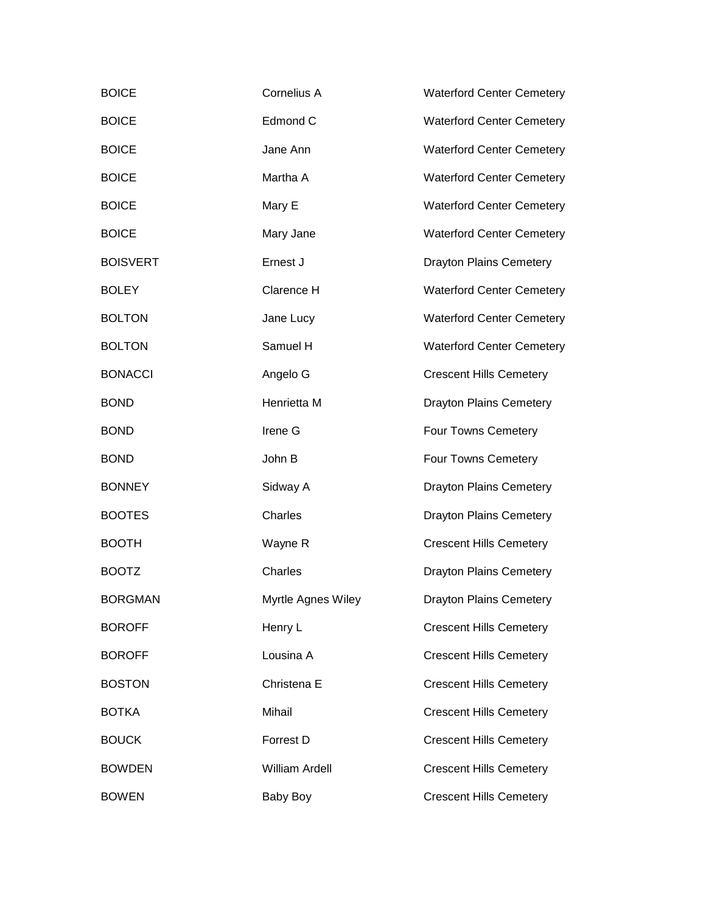| <b>BOICE</b>    | Cornelius A           | <b>Waterford Center Cemetery</b> |
|-----------------|-----------------------|----------------------------------|
| <b>BOICE</b>    | Edmond C              | <b>Waterford Center Cemetery</b> |
| <b>BOICE</b>    | Jane Ann              | <b>Waterford Center Cemetery</b> |
| <b>BOICE</b>    | Martha A              | <b>Waterford Center Cemetery</b> |
| <b>BOICE</b>    | Mary E                | <b>Waterford Center Cemetery</b> |
| <b>BOICE</b>    | Mary Jane             | <b>Waterford Center Cemetery</b> |
| <b>BOISVERT</b> | Ernest J              | <b>Drayton Plains Cemetery</b>   |
| <b>BOLEY</b>    | Clarence H            | <b>Waterford Center Cemetery</b> |
| <b>BOLTON</b>   | Jane Lucy             | <b>Waterford Center Cemetery</b> |
| <b>BOLTON</b>   | Samuel H              | <b>Waterford Center Cemetery</b> |
| <b>BONACCI</b>  | Angelo G              | <b>Crescent Hills Cemetery</b>   |
| <b>BOND</b>     | Henrietta M           | <b>Drayton Plains Cemetery</b>   |
| <b>BOND</b>     | Irene G               | Four Towns Cemetery              |
| <b>BOND</b>     | John B                | Four Towns Cemetery              |
| <b>BONNEY</b>   | Sidway A              | <b>Drayton Plains Cemetery</b>   |
| <b>BOOTES</b>   | Charles               | <b>Drayton Plains Cemetery</b>   |
| <b>BOOTH</b>    | Wayne R               | <b>Crescent Hills Cemetery</b>   |
| <b>BOOTZ</b>    | Charles               | <b>Drayton Plains Cemetery</b>   |
| <b>BORGMAN</b>  | Myrtle Agnes Wiley    | <b>Drayton Plains Cemetery</b>   |
| <b>BOROFF</b>   | Henry L               | <b>Crescent Hills Cemetery</b>   |
| <b>BOROFF</b>   | Lousina A             | <b>Crescent Hills Cemetery</b>   |
| <b>BOSTON</b>   | Christena E           | <b>Crescent Hills Cemetery</b>   |
| <b>BOTKA</b>    | Mihail                | <b>Crescent Hills Cemetery</b>   |
| <b>BOUCK</b>    | Forrest D             | <b>Crescent Hills Cemetery</b>   |
| <b>BOWDEN</b>   | <b>William Ardell</b> | <b>Crescent Hills Cemetery</b>   |
| <b>BOWEN</b>    | Baby Boy              | <b>Crescent Hills Cemetery</b>   |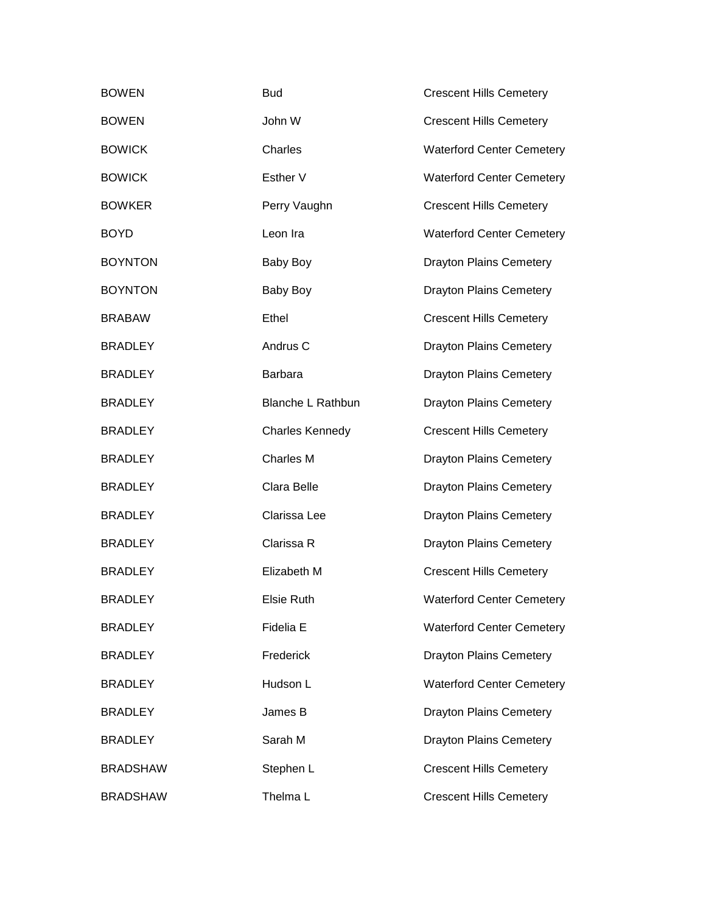| <b>BOWEN</b>    | <b>Bud</b>               | <b>Crescent Hills Cemetery</b>   |
|-----------------|--------------------------|----------------------------------|
| <b>BOWEN</b>    | John W                   | <b>Crescent Hills Cemetery</b>   |
| <b>BOWICK</b>   | Charles                  | <b>Waterford Center Cemetery</b> |
| <b>BOWICK</b>   | Esther V                 | <b>Waterford Center Cemetery</b> |
| <b>BOWKER</b>   | Perry Vaughn             | <b>Crescent Hills Cemetery</b>   |
| <b>BOYD</b>     | Leon Ira                 | <b>Waterford Center Cemetery</b> |
| <b>BOYNTON</b>  | Baby Boy                 | <b>Drayton Plains Cemetery</b>   |
| <b>BOYNTON</b>  | Baby Boy                 | <b>Drayton Plains Cemetery</b>   |
| <b>BRABAW</b>   | Ethel                    | <b>Crescent Hills Cemetery</b>   |
| <b>BRADLEY</b>  | Andrus <sub>C</sub>      | <b>Drayton Plains Cemetery</b>   |
| <b>BRADLEY</b>  | <b>Barbara</b>           | <b>Drayton Plains Cemetery</b>   |
| <b>BRADLEY</b>  | <b>Blanche L Rathbun</b> | <b>Drayton Plains Cemetery</b>   |
| <b>BRADLEY</b>  | <b>Charles Kennedy</b>   | <b>Crescent Hills Cemetery</b>   |
| <b>BRADLEY</b>  | <b>Charles M</b>         | <b>Drayton Plains Cemetery</b>   |
| <b>BRADLEY</b>  | Clara Belle              | <b>Drayton Plains Cemetery</b>   |
| <b>BRADLEY</b>  | Clarissa Lee             | <b>Drayton Plains Cemetery</b>   |
| <b>BRADLEY</b>  | Clarissa R               | <b>Drayton Plains Cemetery</b>   |
| <b>BRADLEY</b>  | Elizabeth M              | <b>Crescent Hills Cemetery</b>   |
| <b>BRADLEY</b>  | <b>Elsie Ruth</b>        | <b>Waterford Center Cemetery</b> |
| <b>BRADLEY</b>  | Fidelia E                | <b>Waterford Center Cemetery</b> |
| <b>BRADLEY</b>  | Frederick                | <b>Drayton Plains Cemetery</b>   |
| <b>BRADLEY</b>  | Hudson L                 | <b>Waterford Center Cemetery</b> |
| <b>BRADLEY</b>  | James B                  | <b>Drayton Plains Cemetery</b>   |
| <b>BRADLEY</b>  | Sarah M                  | <b>Drayton Plains Cemetery</b>   |
| <b>BRADSHAW</b> | Stephen L                | <b>Crescent Hills Cemetery</b>   |
| <b>BRADSHAW</b> | Thelma L                 | <b>Crescent Hills Cemetery</b>   |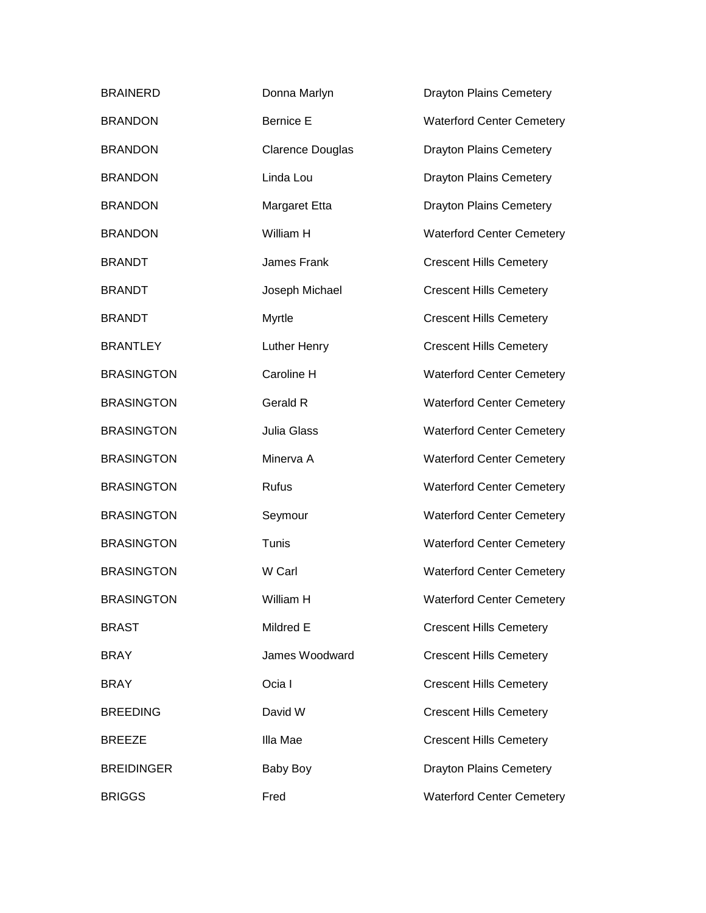| <b>BRAINERD</b>   | Donna Marlyn            | <b>Drayton Plains Cemetery</b>   |
|-------------------|-------------------------|----------------------------------|
| <b>BRANDON</b>    | <b>Bernice E</b>        | <b>Waterford Center Cemetery</b> |
| <b>BRANDON</b>    | <b>Clarence Douglas</b> | <b>Drayton Plains Cemetery</b>   |
| <b>BRANDON</b>    | Linda Lou               | <b>Drayton Plains Cemetery</b>   |
| <b>BRANDON</b>    | Margaret Etta           | <b>Drayton Plains Cemetery</b>   |
| <b>BRANDON</b>    | William H               | <b>Waterford Center Cemetery</b> |
| <b>BRANDT</b>     | James Frank             | <b>Crescent Hills Cemetery</b>   |
| <b>BRANDT</b>     | Joseph Michael          | <b>Crescent Hills Cemetery</b>   |
| <b>BRANDT</b>     | Myrtle                  | <b>Crescent Hills Cemetery</b>   |
| <b>BRANTLEY</b>   | Luther Henry            | <b>Crescent Hills Cemetery</b>   |
| <b>BRASINGTON</b> | Caroline H              | <b>Waterford Center Cemetery</b> |
| <b>BRASINGTON</b> | Gerald R                | <b>Waterford Center Cemetery</b> |
| <b>BRASINGTON</b> | Julia Glass             | <b>Waterford Center Cemetery</b> |
| <b>BRASINGTON</b> | Minerva A               | <b>Waterford Center Cemetery</b> |
| <b>BRASINGTON</b> | Rufus                   | <b>Waterford Center Cemetery</b> |
| <b>BRASINGTON</b> | Seymour                 | <b>Waterford Center Cemetery</b> |
| <b>BRASINGTON</b> | Tunis                   | <b>Waterford Center Cemetery</b> |
| <b>BRASINGTON</b> | W Carl                  | <b>Waterford Center Cemetery</b> |
| <b>BRASINGTON</b> | William H               | <b>Waterford Center Cemetery</b> |
| <b>BRAST</b>      | Mildred E               | <b>Crescent Hills Cemetery</b>   |
| <b>BRAY</b>       | James Woodward          | <b>Crescent Hills Cemetery</b>   |
| <b>BRAY</b>       | Ocia I                  | <b>Crescent Hills Cemetery</b>   |
| <b>BREEDING</b>   | David W                 | <b>Crescent Hills Cemetery</b>   |
| <b>BREEZE</b>     | Illa Mae                | <b>Crescent Hills Cemetery</b>   |
| <b>BREIDINGER</b> | Baby Boy                | <b>Drayton Plains Cemetery</b>   |
| <b>BRIGGS</b>     | Fred                    | <b>Waterford Center Cemetery</b> |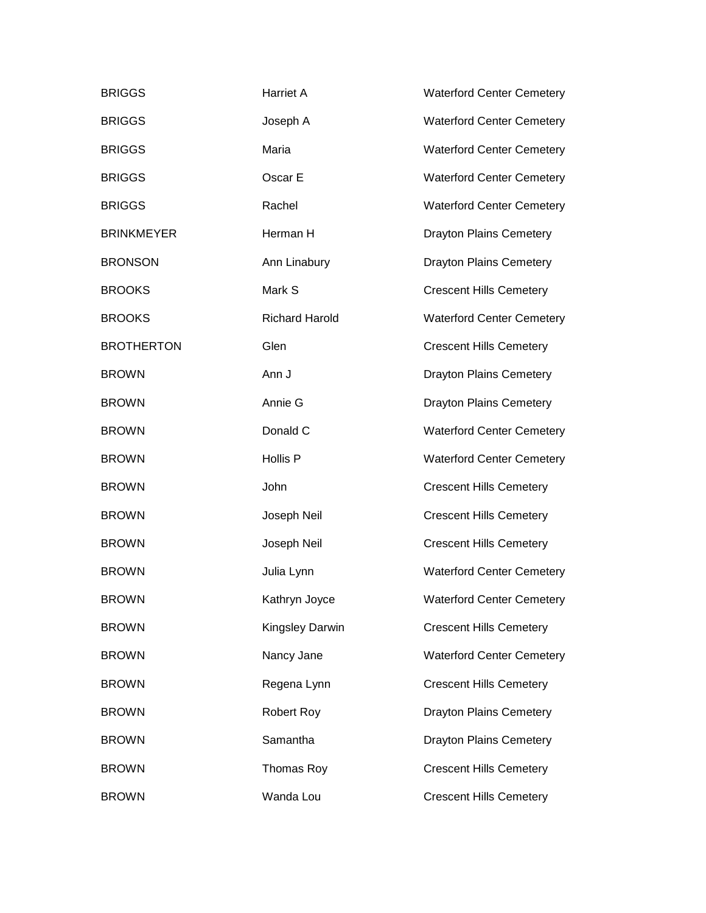| <b>BRIGGS</b>     | <b>Harriet A</b>      | <b>Waterford Center Cemetery</b> |
|-------------------|-----------------------|----------------------------------|
| <b>BRIGGS</b>     | Joseph A              | <b>Waterford Center Cemetery</b> |
| <b>BRIGGS</b>     | Maria                 | <b>Waterford Center Cemetery</b> |
| <b>BRIGGS</b>     | Oscar E               | <b>Waterford Center Cemetery</b> |
| <b>BRIGGS</b>     | Rachel                | <b>Waterford Center Cemetery</b> |
| <b>BRINKMEYER</b> | Herman H              | <b>Drayton Plains Cemetery</b>   |
| <b>BRONSON</b>    | Ann Linabury          | <b>Drayton Plains Cemetery</b>   |
| <b>BROOKS</b>     | Mark S                | <b>Crescent Hills Cemetery</b>   |
| <b>BROOKS</b>     | <b>Richard Harold</b> | <b>Waterford Center Cemetery</b> |
| <b>BROTHERTON</b> | Glen                  | <b>Crescent Hills Cemetery</b>   |
| <b>BROWN</b>      | Ann J                 | <b>Drayton Plains Cemetery</b>   |
| <b>BROWN</b>      | Annie G               | <b>Drayton Plains Cemetery</b>   |
| <b>BROWN</b>      | Donald C              | <b>Waterford Center Cemetery</b> |
| <b>BROWN</b>      | Hollis P              | <b>Waterford Center Cemetery</b> |
| <b>BROWN</b>      | John                  | <b>Crescent Hills Cemetery</b>   |
| <b>BROWN</b>      | Joseph Neil           | <b>Crescent Hills Cemetery</b>   |
| <b>BROWN</b>      | Joseph Neil           | <b>Crescent Hills Cemetery</b>   |
| <b>BROWN</b>      | Julia Lynn            | <b>Waterford Center Cemetery</b> |
| <b>BROWN</b>      | Kathryn Joyce         | <b>Waterford Center Cemetery</b> |
| <b>BROWN</b>      | Kingsley Darwin       | <b>Crescent Hills Cemetery</b>   |
| <b>BROWN</b>      | Nancy Jane            | <b>Waterford Center Cemetery</b> |
| <b>BROWN</b>      | Regena Lynn           | <b>Crescent Hills Cemetery</b>   |
| <b>BROWN</b>      | Robert Roy            | <b>Drayton Plains Cemetery</b>   |
| <b>BROWN</b>      | Samantha              | <b>Drayton Plains Cemetery</b>   |
| <b>BROWN</b>      | Thomas Roy            | <b>Crescent Hills Cemetery</b>   |
| <b>BROWN</b>      | Wanda Lou             | <b>Crescent Hills Cemetery</b>   |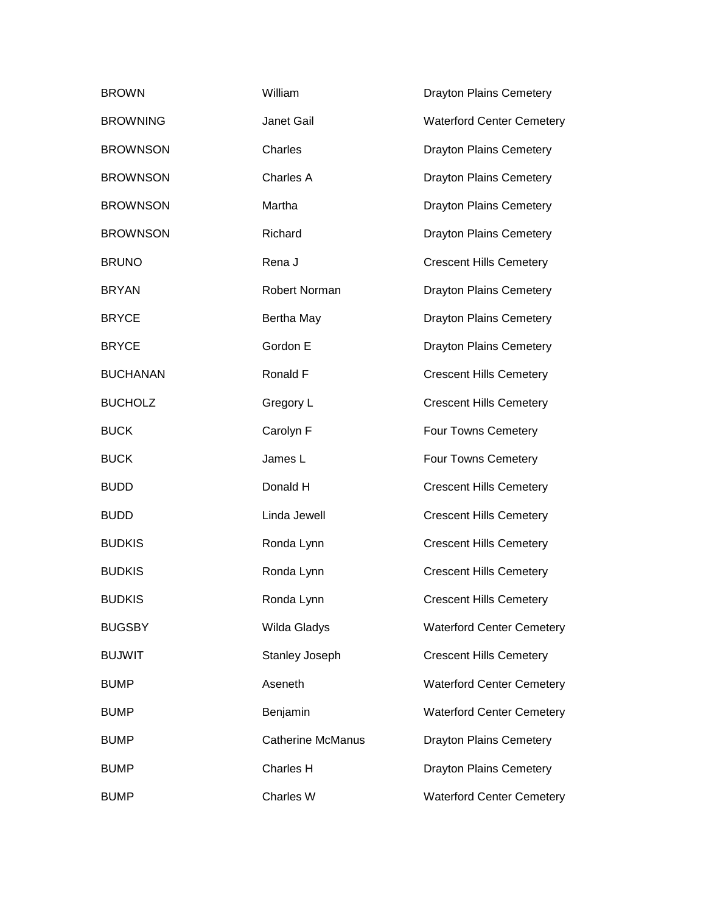| <b>BROWN</b>    | William                  | <b>Drayton Plains Cemetery</b>   |
|-----------------|--------------------------|----------------------------------|
| <b>BROWNING</b> | Janet Gail               | <b>Waterford Center Cemetery</b> |
| <b>BROWNSON</b> | Charles                  | <b>Drayton Plains Cemetery</b>   |
| <b>BROWNSON</b> | Charles A                | <b>Drayton Plains Cemetery</b>   |
| <b>BROWNSON</b> | Martha                   | <b>Drayton Plains Cemetery</b>   |
| <b>BROWNSON</b> | Richard                  | <b>Drayton Plains Cemetery</b>   |
| <b>BRUNO</b>    | Rena J                   | <b>Crescent Hills Cemetery</b>   |
| <b>BRYAN</b>    | Robert Norman            | <b>Drayton Plains Cemetery</b>   |
| <b>BRYCE</b>    | Bertha May               | <b>Drayton Plains Cemetery</b>   |
| <b>BRYCE</b>    | Gordon E                 | <b>Drayton Plains Cemetery</b>   |
| <b>BUCHANAN</b> | Ronald F                 | <b>Crescent Hills Cemetery</b>   |
| <b>BUCHOLZ</b>  | Gregory L                | <b>Crescent Hills Cemetery</b>   |
| <b>BUCK</b>     | Carolyn F                | Four Towns Cemetery              |
| <b>BUCK</b>     | James L                  | Four Towns Cemetery              |
| <b>BUDD</b>     | Donald H                 | <b>Crescent Hills Cemetery</b>   |
| <b>BUDD</b>     | Linda Jewell             | <b>Crescent Hills Cemetery</b>   |
| <b>BUDKIS</b>   | Ronda Lynn               | <b>Crescent Hills Cemetery</b>   |
| <b>BUDKIS</b>   | Ronda Lynn               | <b>Crescent Hills Cemetery</b>   |
| <b>BUDKIS</b>   | Ronda Lynn               | <b>Crescent Hills Cemetery</b>   |
| <b>BUGSBY</b>   | Wilda Gladys             | <b>Waterford Center Cemetery</b> |
| <b>BUJWIT</b>   | Stanley Joseph           | <b>Crescent Hills Cemetery</b>   |
| <b>BUMP</b>     | Aseneth                  | <b>Waterford Center Cemetery</b> |
| <b>BUMP</b>     | Benjamin                 | <b>Waterford Center Cemetery</b> |
| <b>BUMP</b>     | <b>Catherine McManus</b> | <b>Drayton Plains Cemetery</b>   |
| <b>BUMP</b>     | <b>Charles H</b>         | <b>Drayton Plains Cemetery</b>   |
| <b>BUMP</b>     | Charles W                | <b>Waterford Center Cemetery</b> |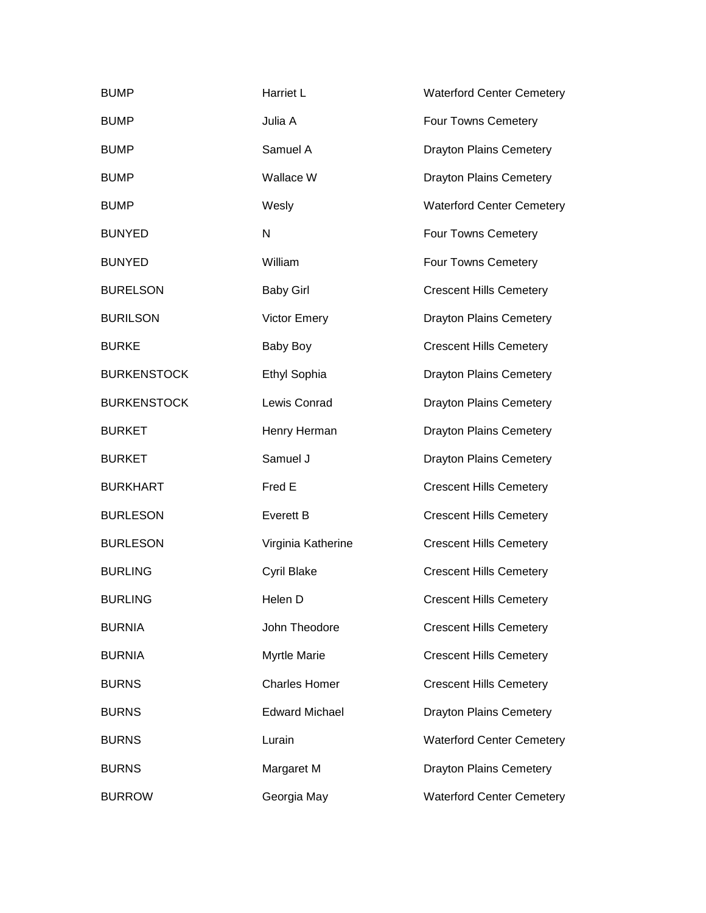| <b>BUMP</b>        | Harriet L             | <b>Waterford Center Cemetery</b> |
|--------------------|-----------------------|----------------------------------|
| <b>BUMP</b>        | Julia A               | Four Towns Cemetery              |
| <b>BUMP</b>        | Samuel A              | <b>Drayton Plains Cemetery</b>   |
| <b>BUMP</b>        | Wallace W             | <b>Drayton Plains Cemetery</b>   |
| <b>BUMP</b>        | Wesly                 | <b>Waterford Center Cemetery</b> |
| <b>BUNYED</b>      | N                     | Four Towns Cemetery              |
| <b>BUNYED</b>      | William               | Four Towns Cemetery              |
| <b>BURELSON</b>    | <b>Baby Girl</b>      | <b>Crescent Hills Cemetery</b>   |
| <b>BURILSON</b>    | <b>Victor Emery</b>   | <b>Drayton Plains Cemetery</b>   |
| <b>BURKE</b>       | Baby Boy              | <b>Crescent Hills Cemetery</b>   |
| <b>BURKENSTOCK</b> | Ethyl Sophia          | <b>Drayton Plains Cemetery</b>   |
| <b>BURKENSTOCK</b> | Lewis Conrad          | <b>Drayton Plains Cemetery</b>   |
| <b>BURKET</b>      | Henry Herman          | <b>Drayton Plains Cemetery</b>   |
| <b>BURKET</b>      | Samuel J              | <b>Drayton Plains Cemetery</b>   |
| <b>BURKHART</b>    | Fred E                | <b>Crescent Hills Cemetery</b>   |
| <b>BURLESON</b>    | <b>Everett B</b>      | <b>Crescent Hills Cemetery</b>   |
| <b>BURLESON</b>    | Virginia Katherine    | <b>Crescent Hills Cemetery</b>   |
| <b>BURLING</b>     | Cyril Blake           | <b>Crescent Hills Cemetery</b>   |
| <b>BURLING</b>     | Helen D               | <b>Crescent Hills Cemetery</b>   |
| <b>BURNIA</b>      | John Theodore         | <b>Crescent Hills Cemetery</b>   |
| <b>BURNIA</b>      | <b>Myrtle Marie</b>   | <b>Crescent Hills Cemetery</b>   |
| <b>BURNS</b>       | <b>Charles Homer</b>  | <b>Crescent Hills Cemetery</b>   |
| <b>BURNS</b>       | <b>Edward Michael</b> | <b>Drayton Plains Cemetery</b>   |
| <b>BURNS</b>       | Lurain                | <b>Waterford Center Cemetery</b> |
| <b>BURNS</b>       | Margaret M            | <b>Drayton Plains Cemetery</b>   |
| <b>BURROW</b>      | Georgia May           | <b>Waterford Center Cemetery</b> |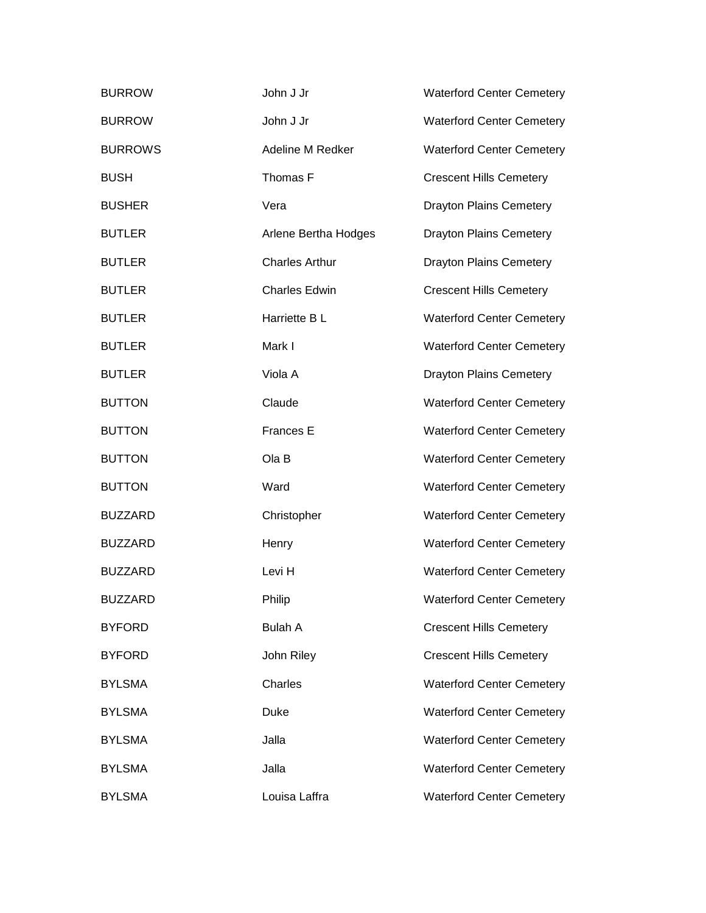| <b>BURROW</b>  | John J Jr             | <b>Waterford Center Cemetery</b> |
|----------------|-----------------------|----------------------------------|
| <b>BURROW</b>  | John J Jr             | <b>Waterford Center Cemetery</b> |
| <b>BURROWS</b> | Adeline M Redker      | <b>Waterford Center Cemetery</b> |
| <b>BUSH</b>    | Thomas F              | <b>Crescent Hills Cemetery</b>   |
| <b>BUSHER</b>  | Vera                  | <b>Drayton Plains Cemetery</b>   |
| <b>BUTLER</b>  | Arlene Bertha Hodges  | <b>Drayton Plains Cemetery</b>   |
| <b>BUTLER</b>  | <b>Charles Arthur</b> | <b>Drayton Plains Cemetery</b>   |
| <b>BUTLER</b>  | <b>Charles Edwin</b>  | <b>Crescent Hills Cemetery</b>   |
| <b>BUTLER</b>  | Harriette B L         | <b>Waterford Center Cemetery</b> |
| <b>BUTLER</b>  | Mark I                | <b>Waterford Center Cemetery</b> |
| <b>BUTLER</b>  | Viola A               | <b>Drayton Plains Cemetery</b>   |
| <b>BUTTON</b>  | Claude                | <b>Waterford Center Cemetery</b> |
| <b>BUTTON</b>  | Frances E             | <b>Waterford Center Cemetery</b> |
| <b>BUTTON</b>  | Ola B                 | <b>Waterford Center Cemetery</b> |
| <b>BUTTON</b>  | Ward                  | <b>Waterford Center Cemetery</b> |
| <b>BUZZARD</b> | Christopher           | <b>Waterford Center Cemetery</b> |
| <b>BUZZARD</b> | Henry                 | <b>Waterford Center Cemetery</b> |
| <b>BUZZARD</b> | Levi H                | <b>Waterford Center Cemetery</b> |
| <b>BUZZARD</b> | Philip                | <b>Waterford Center Cemetery</b> |
| <b>BYFORD</b>  | <b>Bulah A</b>        | <b>Crescent Hills Cemetery</b>   |
| <b>BYFORD</b>  | John Riley            | <b>Crescent Hills Cemetery</b>   |
| <b>BYLSMA</b>  | Charles               | <b>Waterford Center Cemetery</b> |
| <b>BYLSMA</b>  | <b>Duke</b>           | <b>Waterford Center Cemetery</b> |
| <b>BYLSMA</b>  | Jalla                 | <b>Waterford Center Cemetery</b> |
| <b>BYLSMA</b>  | Jalla                 | <b>Waterford Center Cemetery</b> |
| <b>BYLSMA</b>  | Louisa Laffra         | <b>Waterford Center Cemetery</b> |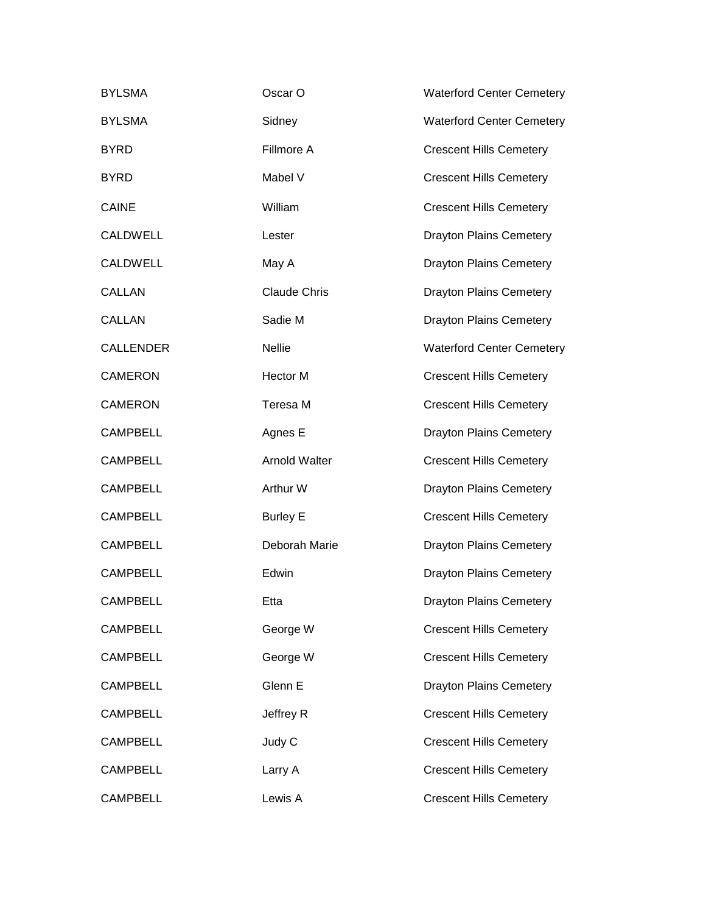| <b>BYLSMA</b>    | Oscar O              | <b>Waterford Center Cemetery</b> |
|------------------|----------------------|----------------------------------|
| <b>BYLSMA</b>    | Sidney               | <b>Waterford Center Cemetery</b> |
| <b>BYRD</b>      | Fillmore A           | <b>Crescent Hills Cemetery</b>   |
| <b>BYRD</b>      | Mabel V              | <b>Crescent Hills Cemetery</b>   |
| <b>CAINE</b>     | William              | <b>Crescent Hills Cemetery</b>   |
| CALDWELL         | Lester               | <b>Drayton Plains Cemetery</b>   |
| <b>CALDWELL</b>  | May A                | <b>Drayton Plains Cemetery</b>   |
| <b>CALLAN</b>    | <b>Claude Chris</b>  | <b>Drayton Plains Cemetery</b>   |
| <b>CALLAN</b>    | Sadie M              | <b>Drayton Plains Cemetery</b>   |
| <b>CALLENDER</b> | <b>Nellie</b>        | <b>Waterford Center Cemetery</b> |
| <b>CAMERON</b>   | Hector M             | <b>Crescent Hills Cemetery</b>   |
| <b>CAMERON</b>   | Teresa M             | <b>Crescent Hills Cemetery</b>   |
| <b>CAMPBELL</b>  | Agnes E              | <b>Drayton Plains Cemetery</b>   |
| <b>CAMPBELL</b>  | <b>Arnold Walter</b> | <b>Crescent Hills Cemetery</b>   |
| <b>CAMPBELL</b>  | Arthur W             | <b>Drayton Plains Cemetery</b>   |
| <b>CAMPBELL</b>  | <b>Burley E</b>      | <b>Crescent Hills Cemetery</b>   |
| <b>CAMPBELL</b>  | Deborah Marie        | <b>Drayton Plains Cemetery</b>   |
| <b>CAMPBELL</b>  | Edwin                | <b>Drayton Plains Cemetery</b>   |
| <b>CAMPBELL</b>  | Etta                 | <b>Drayton Plains Cemetery</b>   |
| <b>CAMPBELL</b>  | George W             | <b>Crescent Hills Cemetery</b>   |
| <b>CAMPBELL</b>  | George W             | <b>Crescent Hills Cemetery</b>   |
| <b>CAMPBELL</b>  | Glenn E              | <b>Drayton Plains Cemetery</b>   |
| <b>CAMPBELL</b>  | Jeffrey R            | <b>Crescent Hills Cemetery</b>   |
| <b>CAMPBELL</b>  | Judy C               | <b>Crescent Hills Cemetery</b>   |
| <b>CAMPBELL</b>  | Larry A              | <b>Crescent Hills Cemetery</b>   |
| <b>CAMPBELL</b>  | Lewis A              | <b>Crescent Hills Cemetery</b>   |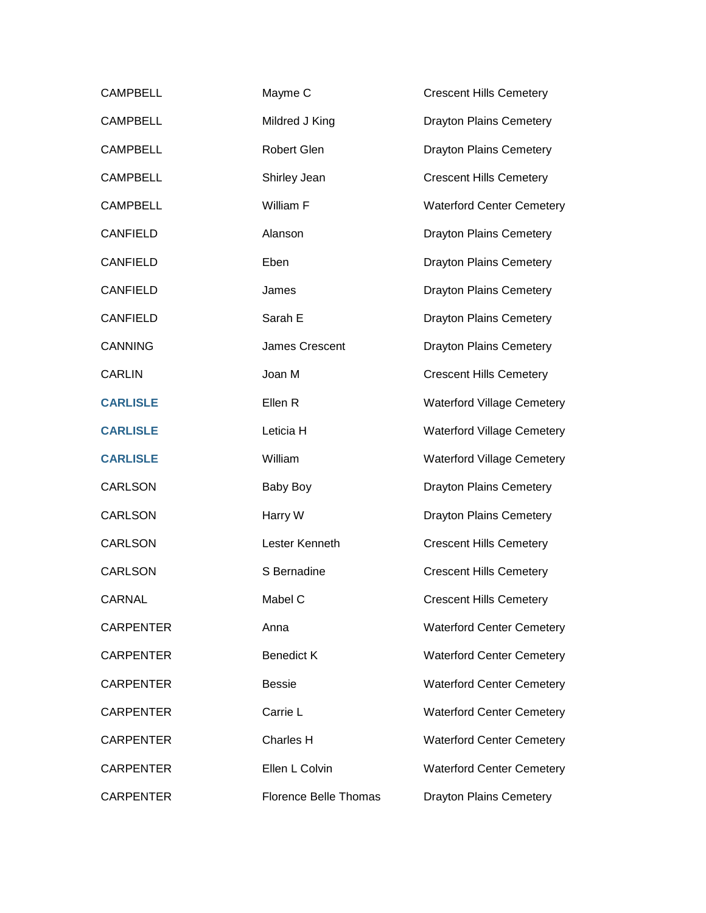| <b>CAMPBELL</b>  | Mayme C                      | <b>Crescent Hills Cemetery</b>    |
|------------------|------------------------------|-----------------------------------|
| <b>CAMPBELL</b>  | Mildred J King               | <b>Drayton Plains Cemetery</b>    |
| <b>CAMPBELL</b>  | <b>Robert Glen</b>           | <b>Drayton Plains Cemetery</b>    |
| <b>CAMPBELL</b>  | Shirley Jean                 | <b>Crescent Hills Cemetery</b>    |
| <b>CAMPBELL</b>  | William F                    | <b>Waterford Center Cemetery</b>  |
| <b>CANFIELD</b>  | Alanson                      | <b>Drayton Plains Cemetery</b>    |
| <b>CANFIELD</b>  | Eben                         | <b>Drayton Plains Cemetery</b>    |
| <b>CANFIELD</b>  | James                        | <b>Drayton Plains Cemetery</b>    |
| <b>CANFIELD</b>  | Sarah E                      | <b>Drayton Plains Cemetery</b>    |
| <b>CANNING</b>   | James Crescent               | <b>Drayton Plains Cemetery</b>    |
| <b>CARLIN</b>    | Joan M                       | <b>Crescent Hills Cemetery</b>    |
| <b>CARLISLE</b>  | Ellen R                      | <b>Waterford Village Cemetery</b> |
| <b>CARLISLE</b>  | Leticia H                    | <b>Waterford Village Cemetery</b> |
| <b>CARLISLE</b>  | William                      | <b>Waterford Village Cemetery</b> |
| <b>CARLSON</b>   | Baby Boy                     | <b>Drayton Plains Cemetery</b>    |
| <b>CARLSON</b>   | Harry W                      | <b>Drayton Plains Cemetery</b>    |
| <b>CARLSON</b>   | Lester Kenneth               | <b>Crescent Hills Cemetery</b>    |
| <b>CARLSON</b>   | S Bernadine                  | <b>Crescent Hills Cemetery</b>    |
| <b>CARNAL</b>    | Mabel C                      | <b>Crescent Hills Cemetery</b>    |
| <b>CARPENTER</b> | Anna                         | <b>Waterford Center Cemetery</b>  |
| <b>CARPENTER</b> | <b>Benedict K</b>            | <b>Waterford Center Cemetery</b>  |
| <b>CARPENTER</b> | <b>Bessie</b>                | <b>Waterford Center Cemetery</b>  |
| <b>CARPENTER</b> | Carrie L                     | <b>Waterford Center Cemetery</b>  |
| <b>CARPENTER</b> | <b>Charles H</b>             | <b>Waterford Center Cemetery</b>  |
| <b>CARPENTER</b> | Ellen L Colvin               | <b>Waterford Center Cemetery</b>  |
| <b>CARPENTER</b> | <b>Florence Belle Thomas</b> | <b>Drayton Plains Cemetery</b>    |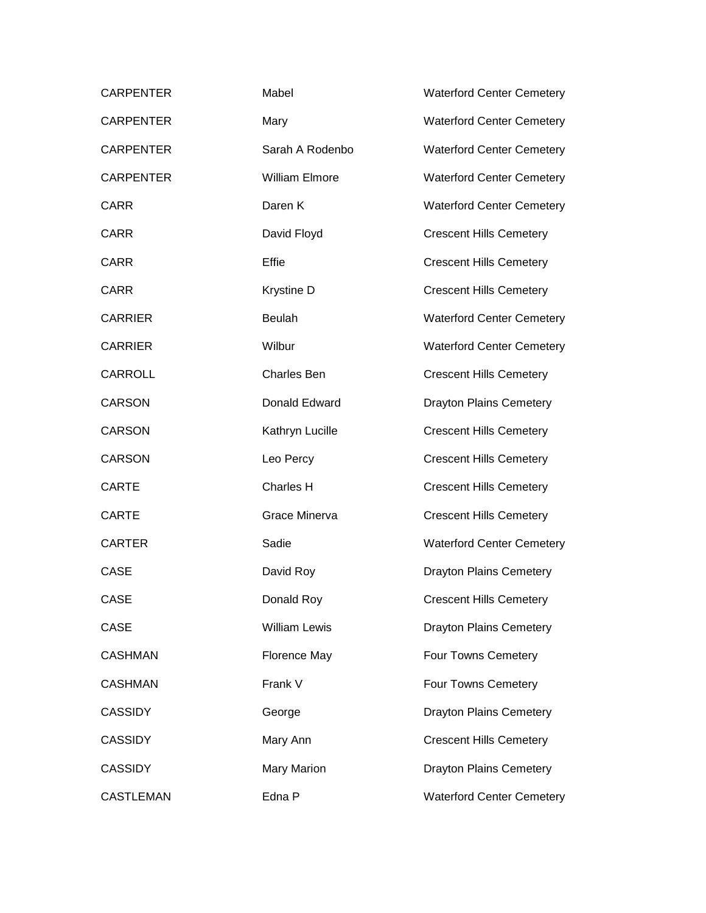| <b>CARPENTER</b> | Mabel                 | <b>Waterford Center Cemetery</b> |
|------------------|-----------------------|----------------------------------|
| <b>CARPENTER</b> | Mary                  | <b>Waterford Center Cemetery</b> |
| <b>CARPENTER</b> | Sarah A Rodenbo       | <b>Waterford Center Cemetery</b> |
| <b>CARPENTER</b> | <b>William Elmore</b> | <b>Waterford Center Cemetery</b> |
| <b>CARR</b>      | Daren K               | <b>Waterford Center Cemetery</b> |
| <b>CARR</b>      | David Floyd           | <b>Crescent Hills Cemetery</b>   |
| <b>CARR</b>      | Effie                 | <b>Crescent Hills Cemetery</b>   |
| <b>CARR</b>      | Krystine D            | <b>Crescent Hills Cemetery</b>   |
| <b>CARRIER</b>   | <b>Beulah</b>         | <b>Waterford Center Cemetery</b> |
| <b>CARRIER</b>   | Wilbur                | <b>Waterford Center Cemetery</b> |
| CARROLL          | <b>Charles Ben</b>    | <b>Crescent Hills Cemetery</b>   |
| <b>CARSON</b>    | Donald Edward         | <b>Drayton Plains Cemetery</b>   |
| <b>CARSON</b>    | Kathryn Lucille       | <b>Crescent Hills Cemetery</b>   |
| <b>CARSON</b>    | Leo Percy             | <b>Crescent Hills Cemetery</b>   |
| <b>CARTE</b>     | Charles H             | <b>Crescent Hills Cemetery</b>   |
| <b>CARTE</b>     | Grace Minerva         | <b>Crescent Hills Cemetery</b>   |
| <b>CARTER</b>    | Sadie                 | <b>Waterford Center Cemetery</b> |
| <b>CASE</b>      | David Roy             | <b>Drayton Plains Cemetery</b>   |
| CASE             | Donald Roy            | <b>Crescent Hills Cemetery</b>   |
| CASE             | <b>William Lewis</b>  | <b>Drayton Plains Cemetery</b>   |
| <b>CASHMAN</b>   | <b>Florence May</b>   | Four Towns Cemetery              |
| <b>CASHMAN</b>   | Frank V               | Four Towns Cemetery              |
| <b>CASSIDY</b>   | George                | <b>Drayton Plains Cemetery</b>   |
| <b>CASSIDY</b>   | Mary Ann              | <b>Crescent Hills Cemetery</b>   |
| <b>CASSIDY</b>   | <b>Mary Marion</b>    | <b>Drayton Plains Cemetery</b>   |
| <b>CASTLEMAN</b> | Edna P                | <b>Waterford Center Cemetery</b> |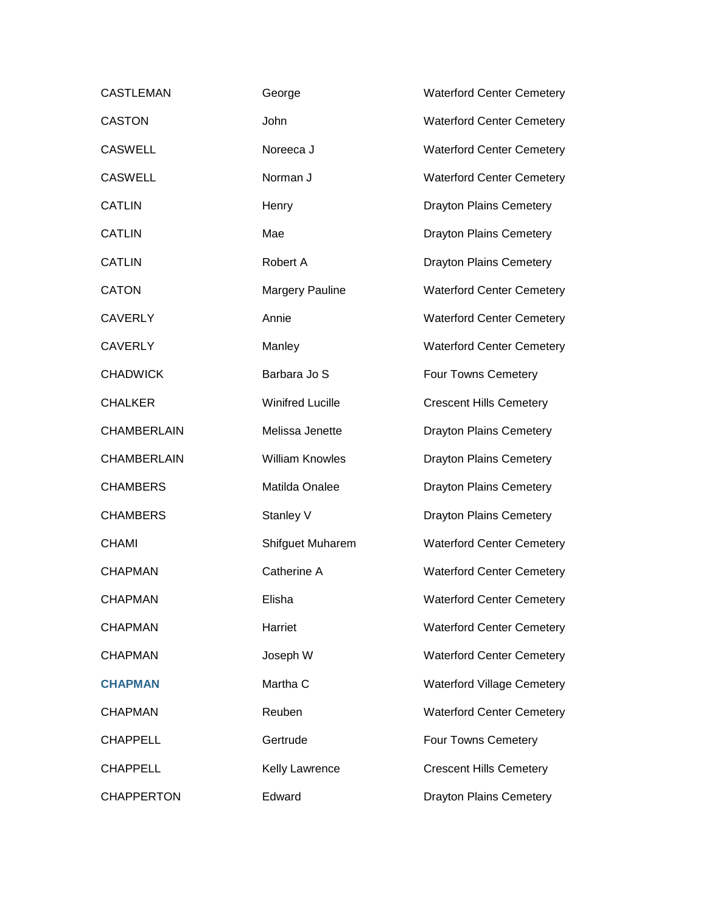| <b>CASTLEMAN</b>   | George                  | <b>Waterford Center Cemetery</b>  |
|--------------------|-------------------------|-----------------------------------|
| <b>CASTON</b>      | John                    | <b>Waterford Center Cemetery</b>  |
| <b>CASWELL</b>     | Noreeca J               | <b>Waterford Center Cemetery</b>  |
| <b>CASWELL</b>     | Norman J                | <b>Waterford Center Cemetery</b>  |
| <b>CATLIN</b>      | Henry                   | <b>Drayton Plains Cemetery</b>    |
| <b>CATLIN</b>      | Mae                     | <b>Drayton Plains Cemetery</b>    |
| <b>CATLIN</b>      | Robert A                | <b>Drayton Plains Cemetery</b>    |
| <b>CATON</b>       | <b>Margery Pauline</b>  | <b>Waterford Center Cemetery</b>  |
| <b>CAVERLY</b>     | Annie                   | <b>Waterford Center Cemetery</b>  |
| <b>CAVERLY</b>     | Manley                  | <b>Waterford Center Cemetery</b>  |
| <b>CHADWICK</b>    | Barbara Jo S            | Four Towns Cemetery               |
| <b>CHALKER</b>     | <b>Winifred Lucille</b> | <b>Crescent Hills Cemetery</b>    |
| <b>CHAMBERLAIN</b> | Melissa Jenette         | <b>Drayton Plains Cemetery</b>    |
| <b>CHAMBERLAIN</b> | <b>William Knowles</b>  | <b>Drayton Plains Cemetery</b>    |
| <b>CHAMBERS</b>    | Matilda Onalee          | <b>Drayton Plains Cemetery</b>    |
| <b>CHAMBERS</b>    | Stanley V               | <b>Drayton Plains Cemetery</b>    |
| <b>CHAMI</b>       | Shifguet Muharem        | <b>Waterford Center Cemetery</b>  |
| <b>CHAPMAN</b>     | Catherine A             | <b>Waterford Center Cemetery</b>  |
| <b>CHAPMAN</b>     | Elisha                  | <b>Waterford Center Cemetery</b>  |
| <b>CHAPMAN</b>     | Harriet                 | <b>Waterford Center Cemetery</b>  |
| <b>CHAPMAN</b>     | Joseph W                | <b>Waterford Center Cemetery</b>  |
| <b>CHAPMAN</b>     | Martha C                | <b>Waterford Village Cemetery</b> |
| <b>CHAPMAN</b>     | Reuben                  | <b>Waterford Center Cemetery</b>  |
| <b>CHAPPELL</b>    | Gertrude                | Four Towns Cemetery               |
| <b>CHAPPELL</b>    | <b>Kelly Lawrence</b>   | <b>Crescent Hills Cemetery</b>    |
| <b>CHAPPERTON</b>  | Edward                  | <b>Drayton Plains Cemetery</b>    |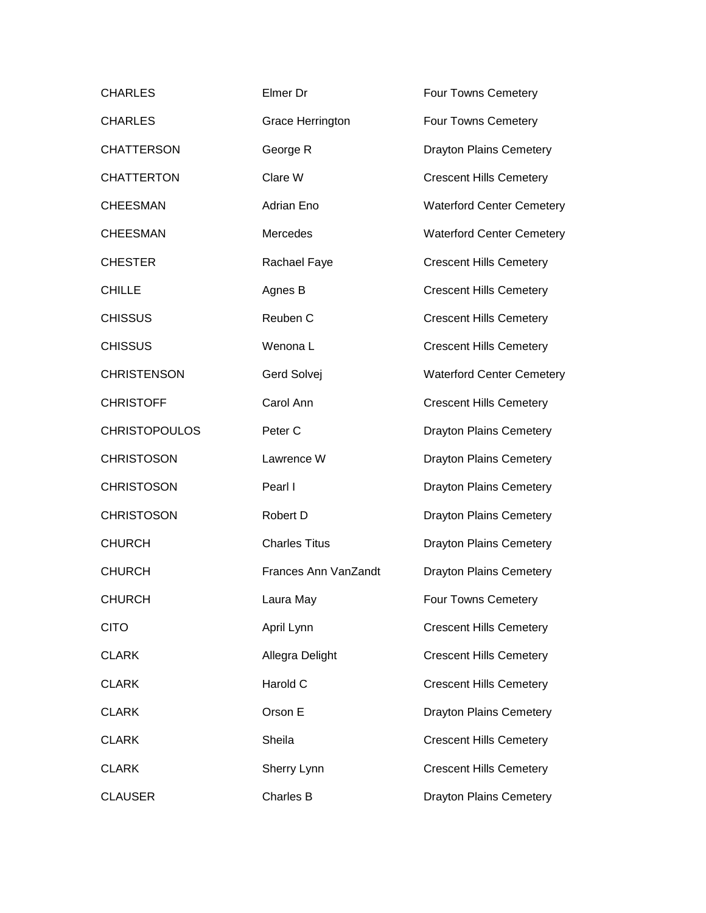| <b>CHARLES</b>       | Elmer Dr                | Four Towns Cemetery              |
|----------------------|-------------------------|----------------------------------|
| <b>CHARLES</b>       | <b>Grace Herrington</b> | Four Towns Cemetery              |
| <b>CHATTERSON</b>    | George R                | <b>Drayton Plains Cemetery</b>   |
| <b>CHATTERTON</b>    | Clare W                 | <b>Crescent Hills Cemetery</b>   |
| <b>CHEESMAN</b>      | Adrian Eno              | <b>Waterford Center Cemetery</b> |
| <b>CHEESMAN</b>      | Mercedes                | <b>Waterford Center Cemetery</b> |
| <b>CHESTER</b>       | Rachael Faye            | <b>Crescent Hills Cemetery</b>   |
| <b>CHILLE</b>        | Agnes B                 | <b>Crescent Hills Cemetery</b>   |
| <b>CHISSUS</b>       | Reuben C                | <b>Crescent Hills Cemetery</b>   |
| <b>CHISSUS</b>       | Wenona L                | <b>Crescent Hills Cemetery</b>   |
| <b>CHRISTENSON</b>   | Gerd Solvej             | <b>Waterford Center Cemetery</b> |
| <b>CHRISTOFF</b>     | Carol Ann               | <b>Crescent Hills Cemetery</b>   |
| <b>CHRISTOPOULOS</b> | Peter <sub>C</sub>      | <b>Drayton Plains Cemetery</b>   |
| <b>CHRISTOSON</b>    | Lawrence W              | <b>Drayton Plains Cemetery</b>   |
| <b>CHRISTOSON</b>    | Pearl I                 | <b>Drayton Plains Cemetery</b>   |
| <b>CHRISTOSON</b>    | Robert D                | <b>Drayton Plains Cemetery</b>   |
| <b>CHURCH</b>        | <b>Charles Titus</b>    | <b>Drayton Plains Cemetery</b>   |
| <b>CHURCH</b>        | Frances Ann VanZandt    | <b>Drayton Plains Cemetery</b>   |
| <b>CHURCH</b>        | Laura May               | Four Towns Cemetery              |
| <b>CITO</b>          | April Lynn              | <b>Crescent Hills Cemetery</b>   |
| <b>CLARK</b>         | Allegra Delight         | <b>Crescent Hills Cemetery</b>   |
| <b>CLARK</b>         | Harold C                | <b>Crescent Hills Cemetery</b>   |
| <b>CLARK</b>         | Orson E                 | <b>Drayton Plains Cemetery</b>   |
| <b>CLARK</b>         | Sheila                  | <b>Crescent Hills Cemetery</b>   |
| <b>CLARK</b>         | Sherry Lynn             | <b>Crescent Hills Cemetery</b>   |
| <b>CLAUSER</b>       | Charles B               | <b>Drayton Plains Cemetery</b>   |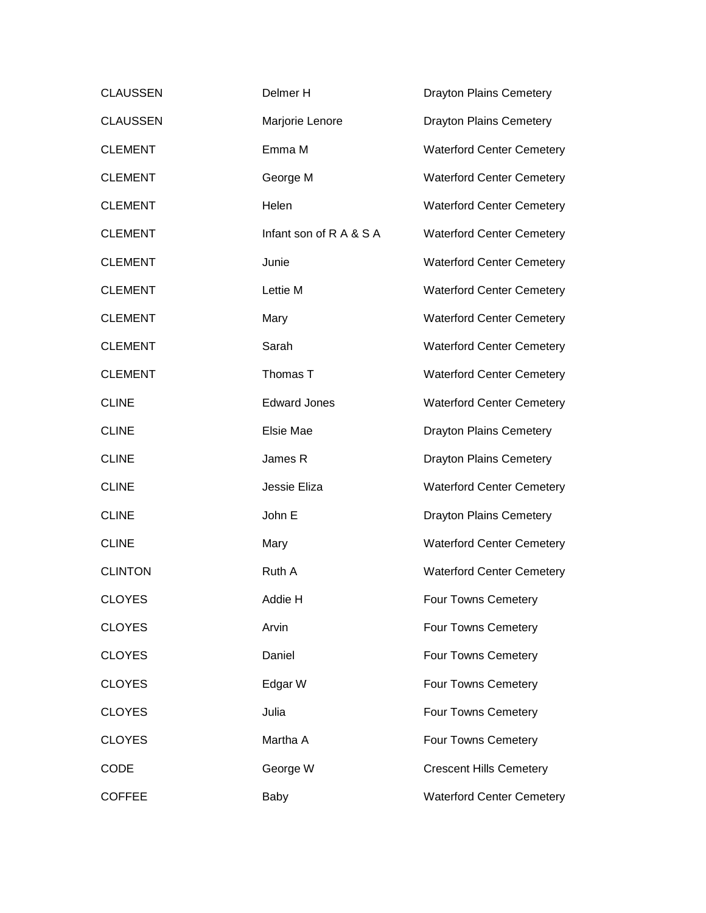| <b>CLAUSSEN</b> | Delmer H                | <b>Drayton Plains Cemetery</b>   |
|-----------------|-------------------------|----------------------------------|
| <b>CLAUSSEN</b> | Marjorie Lenore         | <b>Drayton Plains Cemetery</b>   |
| <b>CLEMENT</b>  | Emma M                  | <b>Waterford Center Cemetery</b> |
| <b>CLEMENT</b>  | George M                | <b>Waterford Center Cemetery</b> |
| <b>CLEMENT</b>  | Helen                   | <b>Waterford Center Cemetery</b> |
| <b>CLEMENT</b>  | Infant son of R A & S A | <b>Waterford Center Cemetery</b> |
| <b>CLEMENT</b>  | Junie                   | <b>Waterford Center Cemetery</b> |
| <b>CLEMENT</b>  | Lettie M                | <b>Waterford Center Cemetery</b> |
| <b>CLEMENT</b>  | Mary                    | <b>Waterford Center Cemetery</b> |
| <b>CLEMENT</b>  | Sarah                   | <b>Waterford Center Cemetery</b> |
| <b>CLEMENT</b>  | Thomas T                | <b>Waterford Center Cemetery</b> |
| <b>CLINE</b>    | <b>Edward Jones</b>     | <b>Waterford Center Cemetery</b> |
| <b>CLINE</b>    | Elsie Mae               | <b>Drayton Plains Cemetery</b>   |
| <b>CLINE</b>    | James R                 | <b>Drayton Plains Cemetery</b>   |
| <b>CLINE</b>    | Jessie Eliza            | <b>Waterford Center Cemetery</b> |
| <b>CLINE</b>    | John E                  | <b>Drayton Plains Cemetery</b>   |
| <b>CLINE</b>    | Mary                    | <b>Waterford Center Cemetery</b> |
| <b>CLINTON</b>  | Ruth A                  | <b>Waterford Center Cemetery</b> |
| <b>CLOYES</b>   | Addie H                 | Four Towns Cemetery              |
| <b>CLOYES</b>   | Arvin                   | Four Towns Cemetery              |
| <b>CLOYES</b>   | Daniel                  | Four Towns Cemetery              |
| <b>CLOYES</b>   | Edgar W                 | Four Towns Cemetery              |
| <b>CLOYES</b>   | Julia                   | Four Towns Cemetery              |
| <b>CLOYES</b>   | Martha A                | Four Towns Cemetery              |
| CODE            | George W                | <b>Crescent Hills Cemetery</b>   |
| <b>COFFEE</b>   | Baby                    | <b>Waterford Center Cemetery</b> |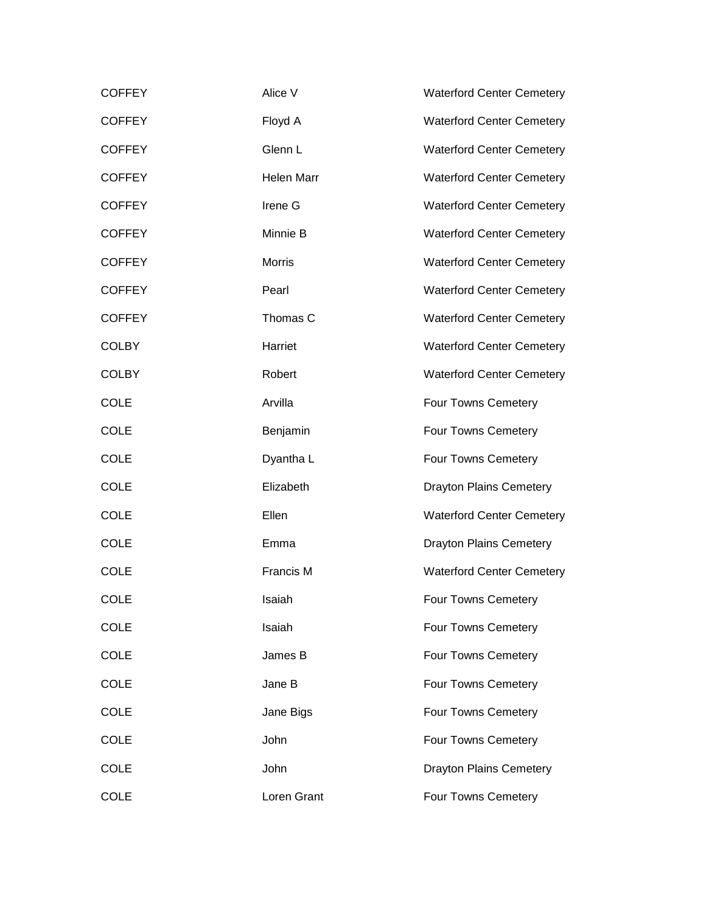| <b>COFFEY</b> | Alice V       | <b>Waterford Center Cemetery</b> |
|---------------|---------------|----------------------------------|
| <b>COFFEY</b> | Floyd A       | <b>Waterford Center Cemetery</b> |
| <b>COFFEY</b> | Glenn L       | <b>Waterford Center Cemetery</b> |
| <b>COFFEY</b> | Helen Marr    | <b>Waterford Center Cemetery</b> |
| <b>COFFEY</b> | Irene G       | <b>Waterford Center Cemetery</b> |
| <b>COFFEY</b> | Minnie B      | <b>Waterford Center Cemetery</b> |
| <b>COFFEY</b> | <b>Morris</b> | <b>Waterford Center Cemetery</b> |
| <b>COFFEY</b> | Pearl         | <b>Waterford Center Cemetery</b> |
| <b>COFFEY</b> | Thomas C      | <b>Waterford Center Cemetery</b> |
| <b>COLBY</b>  | Harriet       | <b>Waterford Center Cemetery</b> |
| <b>COLBY</b>  | Robert        | <b>Waterford Center Cemetery</b> |
| <b>COLE</b>   | Arvilla       | Four Towns Cemetery              |
| <b>COLE</b>   | Benjamin      | Four Towns Cemetery              |
| <b>COLE</b>   | Dyantha L     | Four Towns Cemetery              |
| <b>COLE</b>   | Elizabeth     | <b>Drayton Plains Cemetery</b>   |
| <b>COLE</b>   | Ellen         | <b>Waterford Center Cemetery</b> |
| <b>COLE</b>   | Emma          | <b>Drayton Plains Cemetery</b>   |
| <b>COLE</b>   | Francis M     | <b>Waterford Center Cemetery</b> |
| <b>COLE</b>   | Isaiah        | Four Towns Cemetery              |
| <b>COLE</b>   | Isaiah        | Four Towns Cemetery              |
| <b>COLE</b>   | James B       | Four Towns Cemetery              |
| <b>COLE</b>   | Jane B        | Four Towns Cemetery              |
| <b>COLE</b>   | Jane Bigs     | Four Towns Cemetery              |
| <b>COLE</b>   | John          | Four Towns Cemetery              |
| <b>COLE</b>   | John          | <b>Drayton Plains Cemetery</b>   |
| <b>COLE</b>   | Loren Grant   | Four Towns Cemetery              |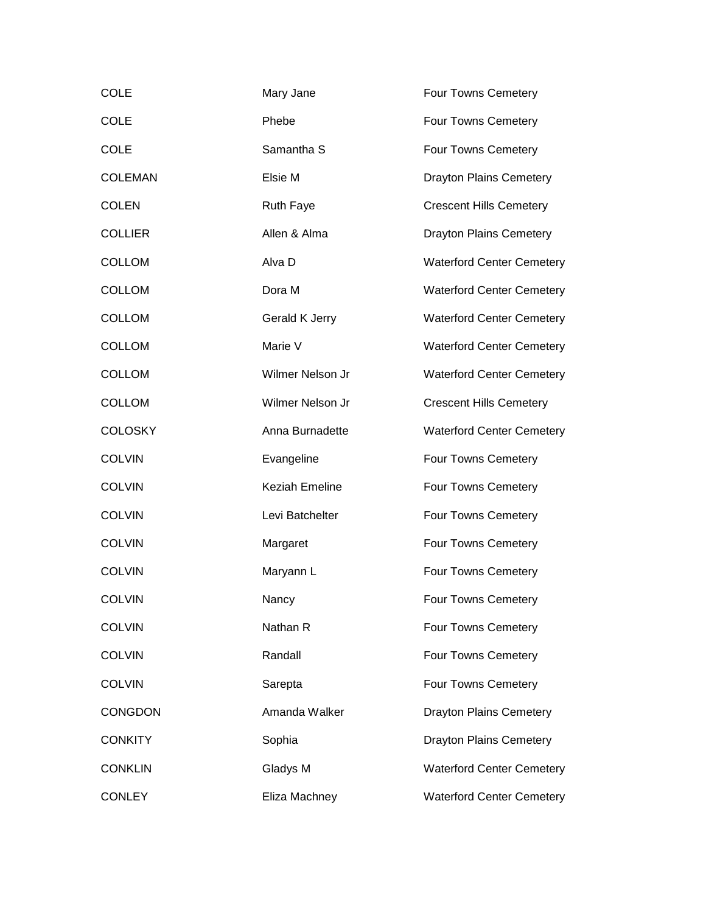| <b>COLE</b>    | Mary Jane             | Four Towns Cemetery              |
|----------------|-----------------------|----------------------------------|
| <b>COLE</b>    | Phebe                 | Four Towns Cemetery              |
| <b>COLE</b>    | Samantha S            | Four Towns Cemetery              |
| <b>COLEMAN</b> | Elsie M               | <b>Drayton Plains Cemetery</b>   |
| <b>COLEN</b>   | <b>Ruth Faye</b>      | <b>Crescent Hills Cemetery</b>   |
| <b>COLLIER</b> | Allen & Alma          | <b>Drayton Plains Cemetery</b>   |
| <b>COLLOM</b>  | Alva D                | <b>Waterford Center Cemetery</b> |
| <b>COLLOM</b>  | Dora M                | <b>Waterford Center Cemetery</b> |
| <b>COLLOM</b>  | Gerald K Jerry        | <b>Waterford Center Cemetery</b> |
| <b>COLLOM</b>  | Marie V               | <b>Waterford Center Cemetery</b> |
| <b>COLLOM</b>  | Wilmer Nelson Jr      | <b>Waterford Center Cemetery</b> |
| <b>COLLOM</b>  | Wilmer Nelson Jr      | <b>Crescent Hills Cemetery</b>   |
| <b>COLOSKY</b> | Anna Burnadette       | <b>Waterford Center Cemetery</b> |
| <b>COLVIN</b>  | Evangeline            | Four Towns Cemetery              |
| <b>COLVIN</b>  | <b>Keziah Emeline</b> | Four Towns Cemetery              |
| <b>COLVIN</b>  | Levi Batchelter       | Four Towns Cemetery              |
| <b>COLVIN</b>  | Margaret              | Four Towns Cemetery              |
| <b>COLVIN</b>  | Maryann L             | Four Towns Cemetery              |
| <b>COLVIN</b>  | Nancy                 | Four Towns Cemetery              |
| <b>COLVIN</b>  | Nathan R              | Four Towns Cemetery              |
| <b>COLVIN</b>  | Randall               | Four Towns Cemetery              |
| <b>COLVIN</b>  | Sarepta               | Four Towns Cemetery              |
| <b>CONGDON</b> | Amanda Walker         | <b>Drayton Plains Cemetery</b>   |
| <b>CONKITY</b> | Sophia                | <b>Drayton Plains Cemetery</b>   |
| <b>CONKLIN</b> | Gladys M              | <b>Waterford Center Cemetery</b> |
| <b>CONLEY</b>  | Eliza Machney         | <b>Waterford Center Cemetery</b> |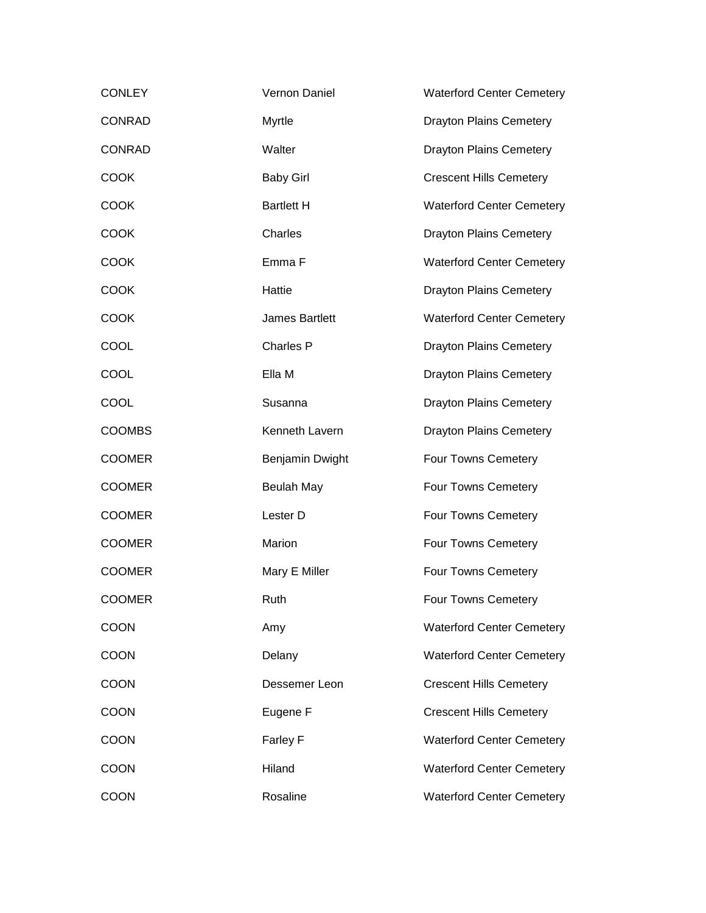| <b>CONLEY</b> | Vernon Daniel     | <b>Waterford Center Cemetery</b> |
|---------------|-------------------|----------------------------------|
| <b>CONRAD</b> | Myrtle            | <b>Drayton Plains Cemetery</b>   |
| <b>CONRAD</b> | Walter            | <b>Drayton Plains Cemetery</b>   |
| <b>COOK</b>   | <b>Baby Girl</b>  | <b>Crescent Hills Cemetery</b>   |
| <b>COOK</b>   | <b>Bartlett H</b> | <b>Waterford Center Cemetery</b> |
| <b>COOK</b>   | Charles           | <b>Drayton Plains Cemetery</b>   |
| <b>COOK</b>   | Emma F            | <b>Waterford Center Cemetery</b> |
| <b>COOK</b>   | Hattie            | <b>Drayton Plains Cemetery</b>   |
| <b>COOK</b>   | James Bartlett    | <b>Waterford Center Cemetery</b> |
| COOL          | Charles P         | <b>Drayton Plains Cemetery</b>   |
| COOL          | Ella M            | <b>Drayton Plains Cemetery</b>   |
| COOL          | Susanna           | <b>Drayton Plains Cemetery</b>   |
| <b>COOMBS</b> | Kenneth Lavern    | <b>Drayton Plains Cemetery</b>   |
| <b>COOMER</b> | Benjamin Dwight   | Four Towns Cemetery              |
| <b>COOMER</b> | <b>Beulah May</b> | Four Towns Cemetery              |
| <b>COOMER</b> | Lester D          | Four Towns Cemetery              |
| <b>COOMER</b> | Marion            | Four Towns Cemetery              |
| <b>COOMER</b> | Mary E Miller     | Four Towns Cemetery              |
| <b>COOMER</b> | Ruth              | Four Towns Cemetery              |
| <b>COON</b>   | Amy               | <b>Waterford Center Cemetery</b> |
| <b>COON</b>   | Delany            | <b>Waterford Center Cemetery</b> |
| <b>COON</b>   | Dessemer Leon     | <b>Crescent Hills Cemetery</b>   |
| <b>COON</b>   | Eugene F          | <b>Crescent Hills Cemetery</b>   |
| <b>COON</b>   | Farley F          | <b>Waterford Center Cemetery</b> |
| <b>COON</b>   | Hiland            | <b>Waterford Center Cemetery</b> |
| <b>COON</b>   | Rosaline          | <b>Waterford Center Cemetery</b> |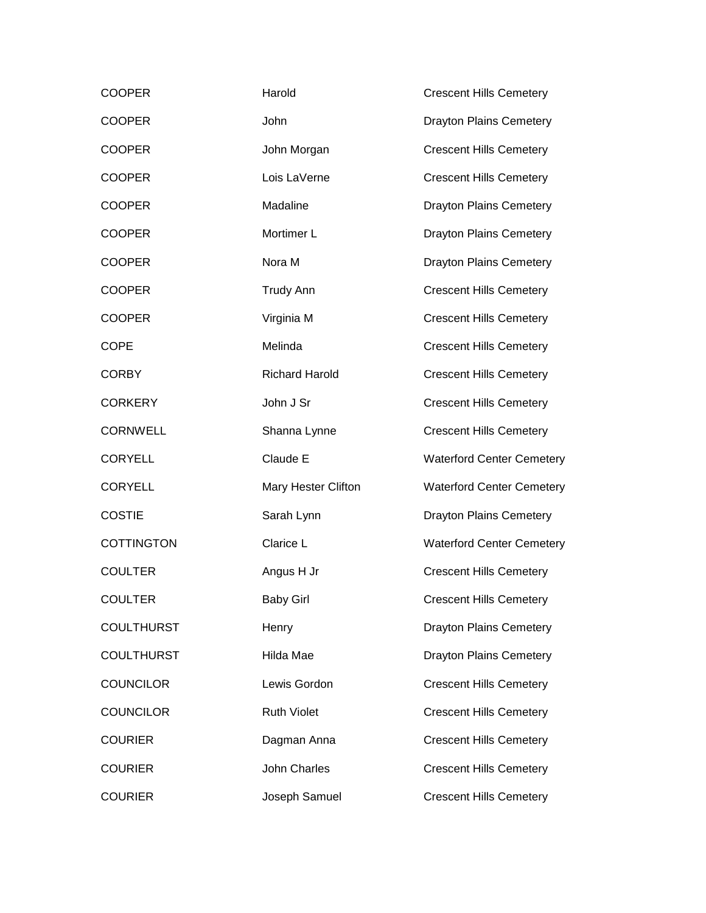| <b>COOPER</b>     | Harold                | <b>Crescent Hills Cemetery</b>   |
|-------------------|-----------------------|----------------------------------|
| <b>COOPER</b>     | John                  | <b>Drayton Plains Cemetery</b>   |
| <b>COOPER</b>     | John Morgan           | <b>Crescent Hills Cemetery</b>   |
| <b>COOPER</b>     | Lois LaVerne          | <b>Crescent Hills Cemetery</b>   |
| <b>COOPER</b>     | Madaline              | <b>Drayton Plains Cemetery</b>   |
| <b>COOPER</b>     | Mortimer L            | <b>Drayton Plains Cemetery</b>   |
| <b>COOPER</b>     | Nora M                | <b>Drayton Plains Cemetery</b>   |
| <b>COOPER</b>     | <b>Trudy Ann</b>      | <b>Crescent Hills Cemetery</b>   |
| <b>COOPER</b>     | Virginia M            | <b>Crescent Hills Cemetery</b>   |
| <b>COPE</b>       | Melinda               | <b>Crescent Hills Cemetery</b>   |
| <b>CORBY</b>      | <b>Richard Harold</b> | <b>Crescent Hills Cemetery</b>   |
| <b>CORKERY</b>    | John J Sr             | <b>Crescent Hills Cemetery</b>   |
| <b>CORNWELL</b>   | Shanna Lynne          | <b>Crescent Hills Cemetery</b>   |
| <b>CORYELL</b>    | Claude E              | <b>Waterford Center Cemetery</b> |
| <b>CORYELL</b>    | Mary Hester Clifton   | <b>Waterford Center Cemetery</b> |
| <b>COSTIE</b>     | Sarah Lynn            | <b>Drayton Plains Cemetery</b>   |
| <b>COTTINGTON</b> | Clarice L             | <b>Waterford Center Cemetery</b> |
| <b>COULTER</b>    | Angus H Jr            | <b>Crescent Hills Cemetery</b>   |
| <b>COULTER</b>    | <b>Baby Girl</b>      | <b>Crescent Hills Cemetery</b>   |
| <b>COULTHURST</b> | Henry                 | <b>Drayton Plains Cemetery</b>   |
| <b>COULTHURST</b> | Hilda Mae             | <b>Drayton Plains Cemetery</b>   |
| <b>COUNCILOR</b>  | Lewis Gordon          | <b>Crescent Hills Cemetery</b>   |
| <b>COUNCILOR</b>  | <b>Ruth Violet</b>    | <b>Crescent Hills Cemetery</b>   |
| <b>COURIER</b>    | Dagman Anna           | <b>Crescent Hills Cemetery</b>   |
| <b>COURIER</b>    | <b>John Charles</b>   | <b>Crescent Hills Cemetery</b>   |
| <b>COURIER</b>    | Joseph Samuel         | <b>Crescent Hills Cemetery</b>   |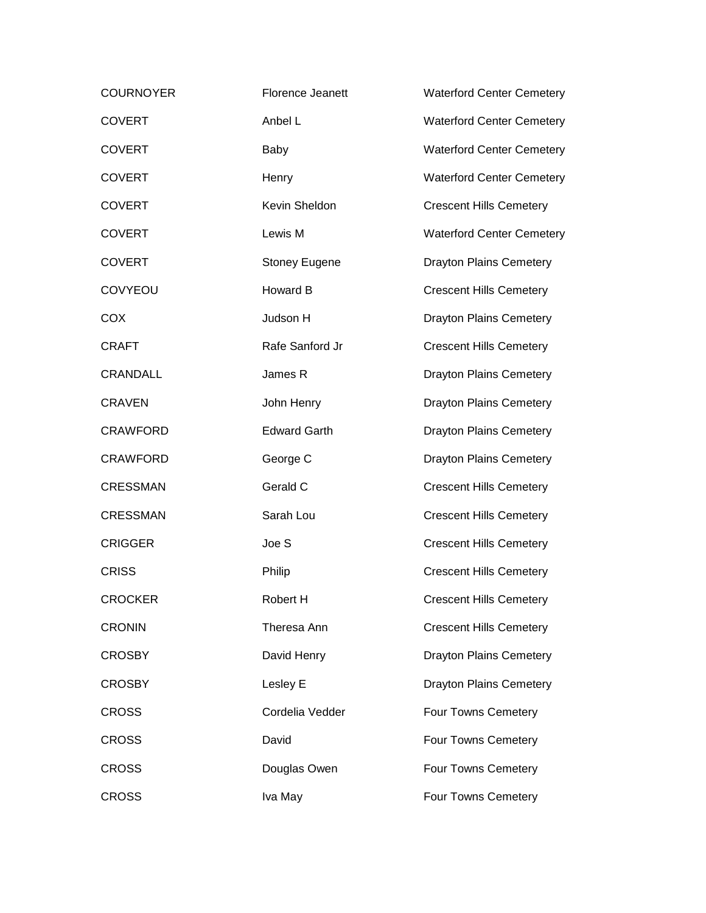| <b>COURNOYER</b> | Florence Jeanett     | <b>Waterford Center Cemetery</b> |
|------------------|----------------------|----------------------------------|
| <b>COVERT</b>    | Anbel L              | <b>Waterford Center Cemetery</b> |
| <b>COVERT</b>    | Baby                 | <b>Waterford Center Cemetery</b> |
| <b>COVERT</b>    | Henry                | <b>Waterford Center Cemetery</b> |
| <b>COVERT</b>    | Kevin Sheldon        | <b>Crescent Hills Cemetery</b>   |
| <b>COVERT</b>    | Lewis M              | <b>Waterford Center Cemetery</b> |
| <b>COVERT</b>    | <b>Stoney Eugene</b> | <b>Drayton Plains Cemetery</b>   |
| COVYEOU          | Howard B             | <b>Crescent Hills Cemetery</b>   |
| <b>COX</b>       | Judson H             | <b>Drayton Plains Cemetery</b>   |
| <b>CRAFT</b>     | Rafe Sanford Jr      | <b>Crescent Hills Cemetery</b>   |
| <b>CRANDALL</b>  | James R              | <b>Drayton Plains Cemetery</b>   |
| <b>CRAVEN</b>    | John Henry           | <b>Drayton Plains Cemetery</b>   |
| <b>CRAWFORD</b>  | <b>Edward Garth</b>  | <b>Drayton Plains Cemetery</b>   |
| <b>CRAWFORD</b>  | George C             | <b>Drayton Plains Cemetery</b>   |
| <b>CRESSMAN</b>  | Gerald C             | <b>Crescent Hills Cemetery</b>   |
| <b>CRESSMAN</b>  | Sarah Lou            | <b>Crescent Hills Cemetery</b>   |
| <b>CRIGGER</b>   | Joe S                | <b>Crescent Hills Cemetery</b>   |
| <b>CRISS</b>     | Philip               | <b>Crescent Hills Cemetery</b>   |
| <b>CROCKER</b>   | Robert H             | <b>Crescent Hills Cemetery</b>   |
| <b>CRONIN</b>    | Theresa Ann          | <b>Crescent Hills Cemetery</b>   |
| <b>CROSBY</b>    | David Henry          | <b>Drayton Plains Cemetery</b>   |
| <b>CROSBY</b>    | Lesley E             | <b>Drayton Plains Cemetery</b>   |
| <b>CROSS</b>     | Cordelia Vedder      | Four Towns Cemetery              |
| <b>CROSS</b>     | David                | Four Towns Cemetery              |
| <b>CROSS</b>     | Douglas Owen         | Four Towns Cemetery              |
| <b>CROSS</b>     | Iva May              | Four Towns Cemetery              |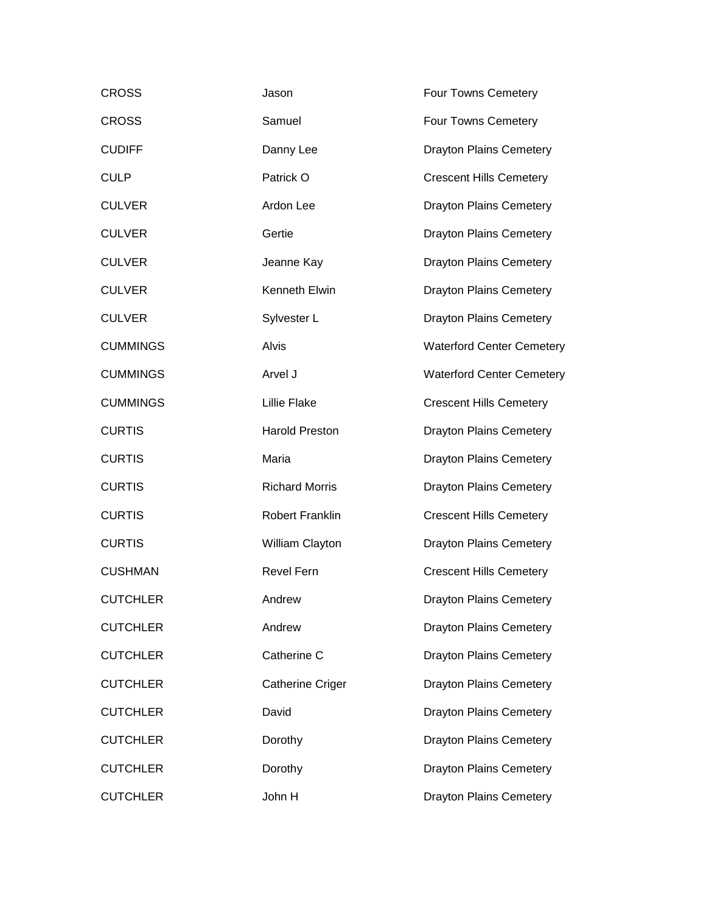| <b>CROSS</b>    | Jason                   | Four Towns Cemetery              |
|-----------------|-------------------------|----------------------------------|
| <b>CROSS</b>    | Samuel                  | Four Towns Cemetery              |
| <b>CUDIFF</b>   | Danny Lee               | <b>Drayton Plains Cemetery</b>   |
| <b>CULP</b>     | Patrick O               | <b>Crescent Hills Cemetery</b>   |
| <b>CULVER</b>   | Ardon Lee               | <b>Drayton Plains Cemetery</b>   |
| <b>CULVER</b>   | Gertie                  | <b>Drayton Plains Cemetery</b>   |
| <b>CULVER</b>   | Jeanne Kay              | <b>Drayton Plains Cemetery</b>   |
| <b>CULVER</b>   | Kenneth Elwin           | <b>Drayton Plains Cemetery</b>   |
| <b>CULVER</b>   | Sylvester L             | <b>Drayton Plains Cemetery</b>   |
| <b>CUMMINGS</b> | Alvis                   | <b>Waterford Center Cemetery</b> |
| <b>CUMMINGS</b> | Arvel J                 | <b>Waterford Center Cemetery</b> |
| <b>CUMMINGS</b> | <b>Lillie Flake</b>     | <b>Crescent Hills Cemetery</b>   |
| <b>CURTIS</b>   | <b>Harold Preston</b>   | <b>Drayton Plains Cemetery</b>   |
| <b>CURTIS</b>   | Maria                   | <b>Drayton Plains Cemetery</b>   |
| <b>CURTIS</b>   | <b>Richard Morris</b>   | <b>Drayton Plains Cemetery</b>   |
| <b>CURTIS</b>   | <b>Robert Franklin</b>  | <b>Crescent Hills Cemetery</b>   |
| <b>CURTIS</b>   | William Clayton         | <b>Drayton Plains Cemetery</b>   |
| <b>CUSHMAN</b>  | <b>Revel Fern</b>       | <b>Crescent Hills Cemetery</b>   |
| <b>CUTCHLER</b> | Andrew                  | <b>Drayton Plains Cemetery</b>   |
| <b>CUTCHLER</b> | Andrew                  | <b>Drayton Plains Cemetery</b>   |
| <b>CUTCHLER</b> | Catherine C             | <b>Drayton Plains Cemetery</b>   |
| <b>CUTCHLER</b> | <b>Catherine Criger</b> | <b>Drayton Plains Cemetery</b>   |
| <b>CUTCHLER</b> | David                   | <b>Drayton Plains Cemetery</b>   |
| <b>CUTCHLER</b> | Dorothy                 | <b>Drayton Plains Cemetery</b>   |
| <b>CUTCHLER</b> | Dorothy                 | <b>Drayton Plains Cemetery</b>   |
| <b>CUTCHLER</b> | John H                  | <b>Drayton Plains Cemetery</b>   |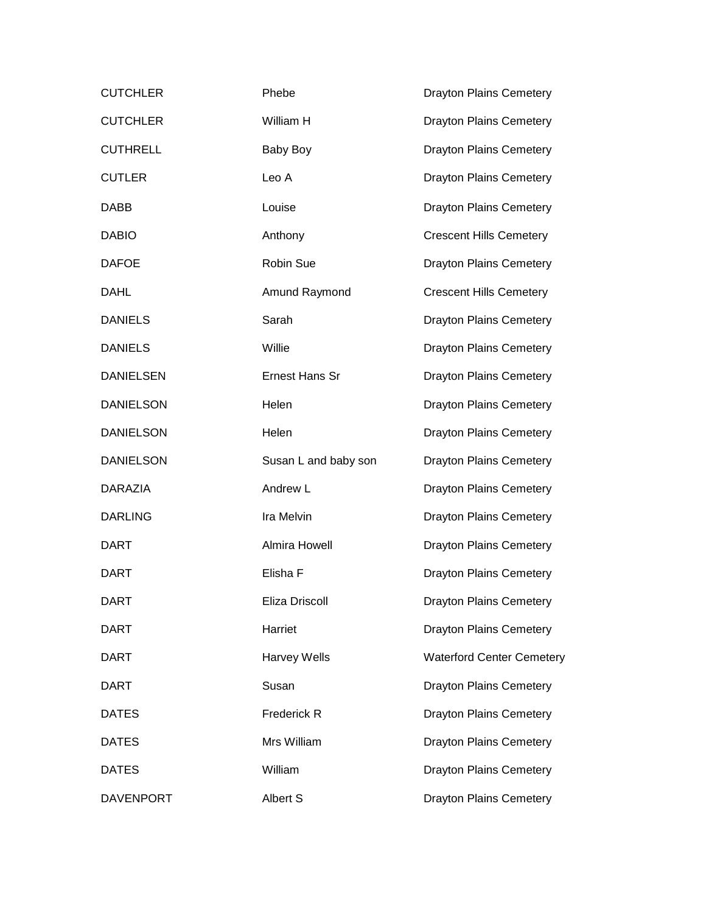| <b>CUTCHLER</b>  | Phebe                | <b>Drayton Plains Cemetery</b>   |
|------------------|----------------------|----------------------------------|
| <b>CUTCHLER</b>  | William H            | <b>Drayton Plains Cemetery</b>   |
| <b>CUTHRELL</b>  | Baby Boy             | <b>Drayton Plains Cemetery</b>   |
| <b>CUTLER</b>    | Leo A                | <b>Drayton Plains Cemetery</b>   |
| <b>DABB</b>      | Louise               | <b>Drayton Plains Cemetery</b>   |
| <b>DABIO</b>     | Anthony              | <b>Crescent Hills Cemetery</b>   |
| <b>DAFOE</b>     | Robin Sue            | <b>Drayton Plains Cemetery</b>   |
| <b>DAHL</b>      | Amund Raymond        | <b>Crescent Hills Cemetery</b>   |
| <b>DANIELS</b>   | Sarah                | <b>Drayton Plains Cemetery</b>   |
| <b>DANIELS</b>   | Willie               | <b>Drayton Plains Cemetery</b>   |
| <b>DANIELSEN</b> | Ernest Hans Sr       | <b>Drayton Plains Cemetery</b>   |
| <b>DANIELSON</b> | Helen                | <b>Drayton Plains Cemetery</b>   |
| <b>DANIELSON</b> | Helen                | <b>Drayton Plains Cemetery</b>   |
| <b>DANIELSON</b> | Susan L and baby son | <b>Drayton Plains Cemetery</b>   |
| DARAZIA          | Andrew L             | <b>Drayton Plains Cemetery</b>   |
| <b>DARLING</b>   | Ira Melvin           | <b>Drayton Plains Cemetery</b>   |
| <b>DART</b>      | Almira Howell        | <b>Drayton Plains Cemetery</b>   |
| <b>DART</b>      | Elisha F             | <b>Drayton Plains Cemetery</b>   |
| <b>DART</b>      | Eliza Driscoll       | <b>Drayton Plains Cemetery</b>   |
| <b>DART</b>      | Harriet              | <b>Drayton Plains Cemetery</b>   |
| <b>DART</b>      | <b>Harvey Wells</b>  | <b>Waterford Center Cemetery</b> |
| <b>DART</b>      | Susan                | <b>Drayton Plains Cemetery</b>   |
| <b>DATES</b>     | Frederick R          | <b>Drayton Plains Cemetery</b>   |
| <b>DATES</b>     | Mrs William          | <b>Drayton Plains Cemetery</b>   |
| <b>DATES</b>     | William              | <b>Drayton Plains Cemetery</b>   |
| <b>DAVENPORT</b> | Albert S             | <b>Drayton Plains Cemetery</b>   |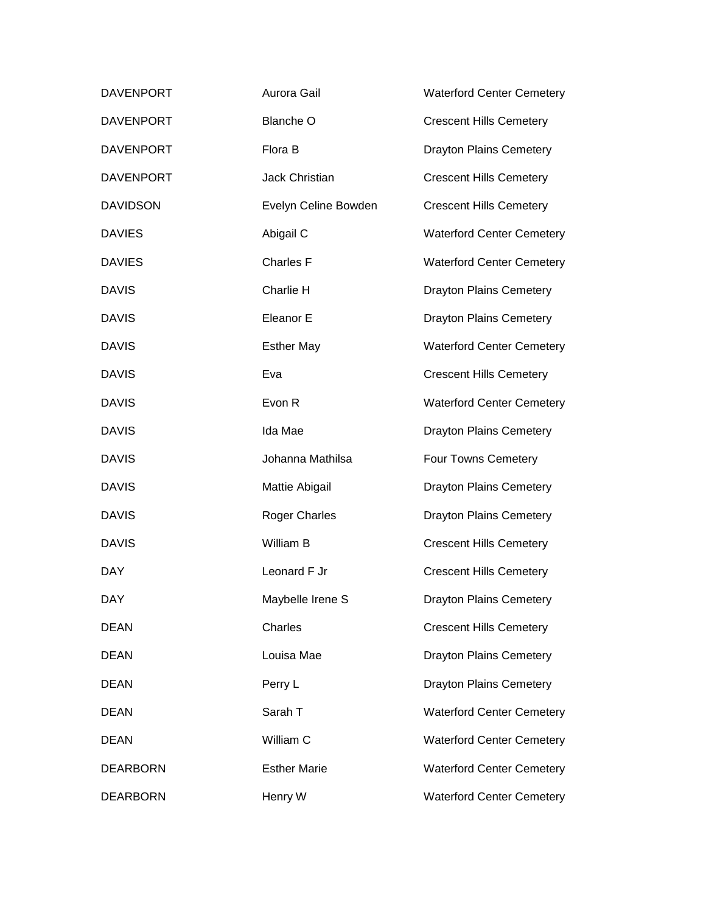| <b>DAVENPORT</b> | Aurora Gail          | <b>Waterford Center Cemetery</b> |
|------------------|----------------------|----------------------------------|
| <b>DAVENPORT</b> | <b>Blanche O</b>     | <b>Crescent Hills Cemetery</b>   |
| <b>DAVENPORT</b> | Flora B              | <b>Drayton Plains Cemetery</b>   |
| <b>DAVENPORT</b> | Jack Christian       | <b>Crescent Hills Cemetery</b>   |
| <b>DAVIDSON</b>  | Evelyn Celine Bowden | <b>Crescent Hills Cemetery</b>   |
| <b>DAVIES</b>    | Abigail C            | <b>Waterford Center Cemetery</b> |
| <b>DAVIES</b>    | Charles F            | <b>Waterford Center Cemetery</b> |
| <b>DAVIS</b>     | Charlie H            | <b>Drayton Plains Cemetery</b>   |
| <b>DAVIS</b>     | Eleanor E            | <b>Drayton Plains Cemetery</b>   |
| <b>DAVIS</b>     | <b>Esther May</b>    | <b>Waterford Center Cemetery</b> |
| <b>DAVIS</b>     | Eva                  | <b>Crescent Hills Cemetery</b>   |
| <b>DAVIS</b>     | Evon R               | <b>Waterford Center Cemetery</b> |
| <b>DAVIS</b>     | Ida Mae              | <b>Drayton Plains Cemetery</b>   |
| <b>DAVIS</b>     | Johanna Mathilsa     | Four Towns Cemetery              |
| <b>DAVIS</b>     | Mattie Abigail       | <b>Drayton Plains Cemetery</b>   |
| <b>DAVIS</b>     | <b>Roger Charles</b> | <b>Drayton Plains Cemetery</b>   |
| <b>DAVIS</b>     | William B            | <b>Crescent Hills Cemetery</b>   |
| <b>DAY</b>       | Leonard F Jr         | <b>Crescent Hills Cemetery</b>   |
| DAY              | Maybelle Irene S     | <b>Drayton Plains Cemetery</b>   |
| <b>DEAN</b>      | Charles              | <b>Crescent Hills Cemetery</b>   |
| <b>DEAN</b>      | Louisa Mae           | <b>Drayton Plains Cemetery</b>   |
| <b>DEAN</b>      | Perry L              | <b>Drayton Plains Cemetery</b>   |
| <b>DEAN</b>      | Sarah T              | <b>Waterford Center Cemetery</b> |
| <b>DEAN</b>      | William C            | <b>Waterford Center Cemetery</b> |
| <b>DEARBORN</b>  | <b>Esther Marie</b>  | <b>Waterford Center Cemetery</b> |
| <b>DEARBORN</b>  | Henry W              | <b>Waterford Center Cemetery</b> |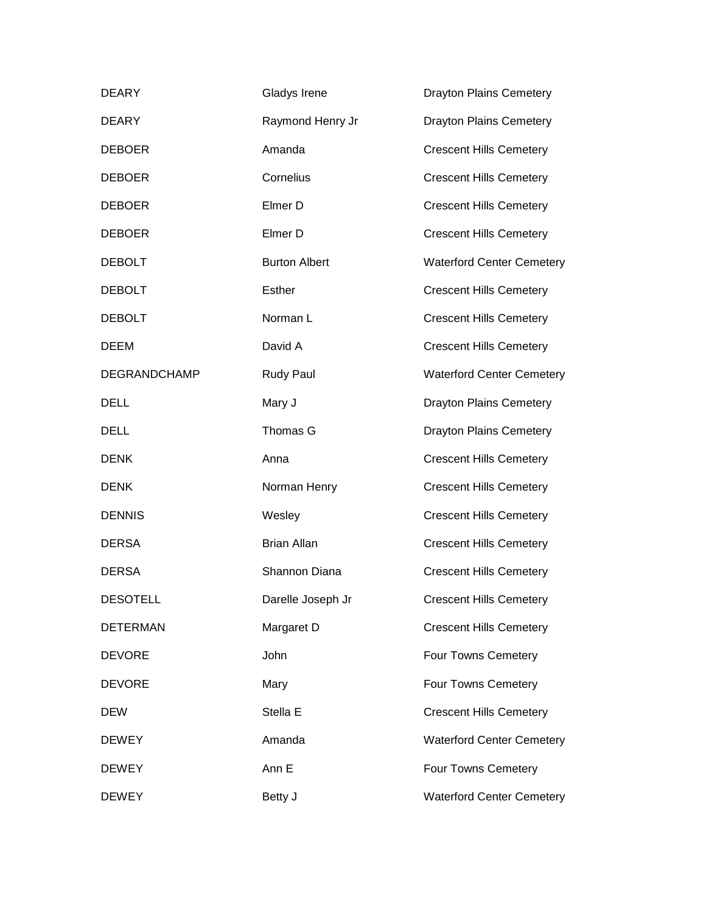| <b>DEARY</b>    | Gladys Irene         | <b>Drayton Plains Cemetery</b>   |
|-----------------|----------------------|----------------------------------|
| <b>DEARY</b>    | Raymond Henry Jr     | <b>Drayton Plains Cemetery</b>   |
| <b>DEBOER</b>   | Amanda               | <b>Crescent Hills Cemetery</b>   |
| <b>DEBOER</b>   | Cornelius            | <b>Crescent Hills Cemetery</b>   |
| <b>DEBOER</b>   | Elmer D              | <b>Crescent Hills Cemetery</b>   |
| <b>DEBOER</b>   | Elmer D              | <b>Crescent Hills Cemetery</b>   |
| <b>DEBOLT</b>   | <b>Burton Albert</b> | <b>Waterford Center Cemetery</b> |
| <b>DEBOLT</b>   | Esther               | <b>Crescent Hills Cemetery</b>   |
| <b>DEBOLT</b>   | Norman L             | <b>Crescent Hills Cemetery</b>   |
| <b>DEEM</b>     | David A              | <b>Crescent Hills Cemetery</b>   |
| DEGRANDCHAMP    | Rudy Paul            | <b>Waterford Center Cemetery</b> |
| <b>DELL</b>     | Mary J               | <b>Drayton Plains Cemetery</b>   |
| <b>DELL</b>     | Thomas G             | <b>Drayton Plains Cemetery</b>   |
| <b>DENK</b>     | Anna                 | <b>Crescent Hills Cemetery</b>   |
| <b>DENK</b>     | Norman Henry         | <b>Crescent Hills Cemetery</b>   |
| <b>DENNIS</b>   | Wesley               | <b>Crescent Hills Cemetery</b>   |
| <b>DERSA</b>    | <b>Brian Allan</b>   | <b>Crescent Hills Cemetery</b>   |
| <b>DERSA</b>    | Shannon Diana        | <b>Crescent Hills Cemetery</b>   |
| <b>DESOTELL</b> | Darelle Joseph Jr    | <b>Crescent Hills Cemetery</b>   |
| <b>DETERMAN</b> | Margaret D           | <b>Crescent Hills Cemetery</b>   |
| <b>DEVORE</b>   | John                 | Four Towns Cemetery              |
| <b>DEVORE</b>   | Mary                 | Four Towns Cemetery              |
| <b>DEW</b>      | Stella E             | <b>Crescent Hills Cemetery</b>   |
| <b>DEWEY</b>    | Amanda               | <b>Waterford Center Cemetery</b> |
| <b>DEWEY</b>    | Ann E                | Four Towns Cemetery              |
| <b>DEWEY</b>    | Betty J              | <b>Waterford Center Cemetery</b> |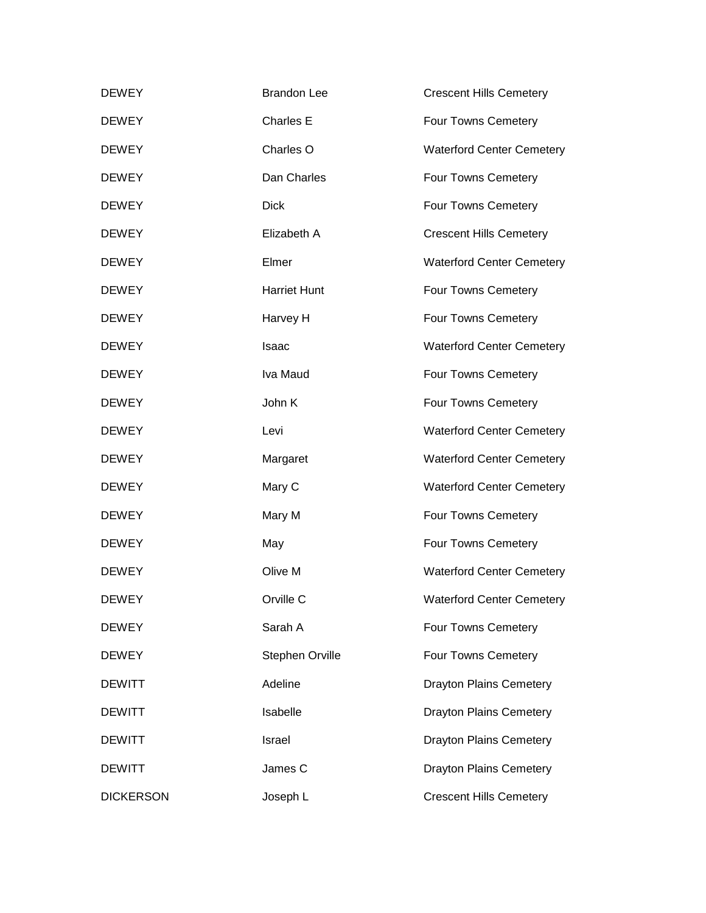| <b>DEWEY</b>     | <b>Brandon Lee</b>  | <b>Crescent Hills Cemetery</b>   |
|------------------|---------------------|----------------------------------|
| <b>DEWEY</b>     | Charles E           | Four Towns Cemetery              |
| <b>DEWEY</b>     | Charles O           | <b>Waterford Center Cemetery</b> |
| <b>DEWEY</b>     | Dan Charles         | Four Towns Cemetery              |
| <b>DEWEY</b>     | <b>Dick</b>         | Four Towns Cemetery              |
| <b>DEWEY</b>     | Elizabeth A         | <b>Crescent Hills Cemetery</b>   |
| <b>DEWEY</b>     | Elmer               | <b>Waterford Center Cemetery</b> |
| <b>DEWEY</b>     | <b>Harriet Hunt</b> | Four Towns Cemetery              |
| <b>DEWEY</b>     | Harvey H            | Four Towns Cemetery              |
| <b>DEWEY</b>     | Isaac               | <b>Waterford Center Cemetery</b> |
| <b>DEWEY</b>     | Iva Maud            | Four Towns Cemetery              |
| <b>DEWEY</b>     | John K              | Four Towns Cemetery              |
| <b>DEWEY</b>     | Levi                | <b>Waterford Center Cemetery</b> |
| <b>DEWEY</b>     | Margaret            | <b>Waterford Center Cemetery</b> |
| <b>DEWEY</b>     | Mary C              | <b>Waterford Center Cemetery</b> |
| <b>DEWEY</b>     | Mary M              | Four Towns Cemetery              |
| <b>DEWEY</b>     | May                 | Four Towns Cemetery              |
| <b>DEWEY</b>     | Olive M             | <b>Waterford Center Cemetery</b> |
| <b>DEWEY</b>     | Orville C           | <b>Waterford Center Cemetery</b> |
| <b>DEWEY</b>     | Sarah A             | Four Towns Cemetery              |
| <b>DEWEY</b>     | Stephen Orville     | Four Towns Cemetery              |
| <b>DEWITT</b>    | Adeline             | <b>Drayton Plains Cemetery</b>   |
| <b>DEWITT</b>    | Isabelle            | <b>Drayton Plains Cemetery</b>   |
| <b>DEWITT</b>    | Israel              | <b>Drayton Plains Cemetery</b>   |
| <b>DEWITT</b>    | James C             | <b>Drayton Plains Cemetery</b>   |
| <b>DICKERSON</b> | Joseph L            | <b>Crescent Hills Cemetery</b>   |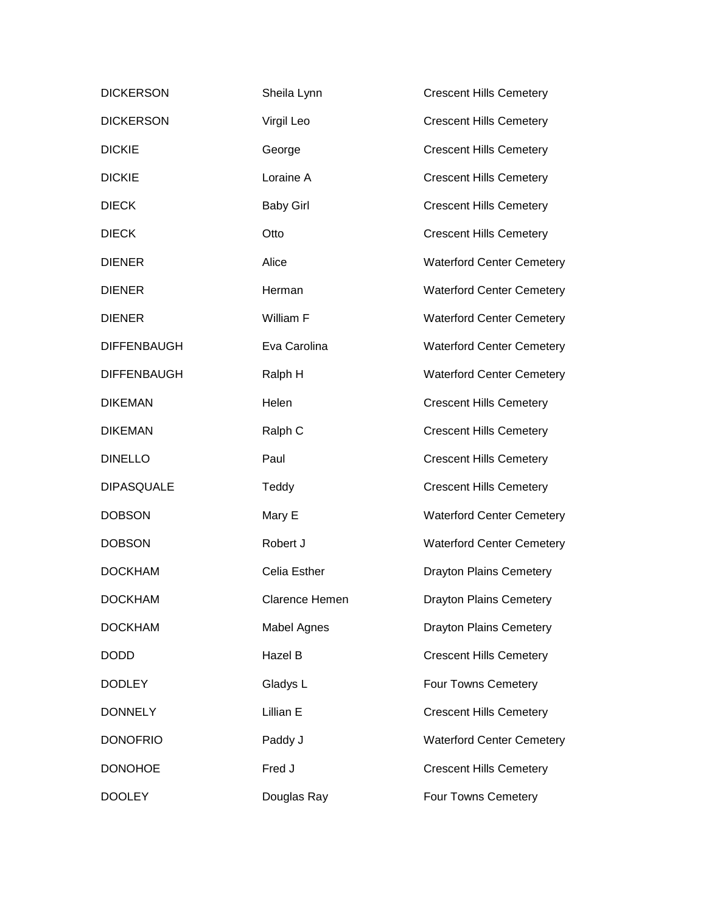| <b>DICKERSON</b>   | Sheila Lynn           | <b>Crescent Hills Cemetery</b>   |
|--------------------|-----------------------|----------------------------------|
| <b>DICKERSON</b>   | Virgil Leo            | <b>Crescent Hills Cemetery</b>   |
| <b>DICKIE</b>      | George                | <b>Crescent Hills Cemetery</b>   |
| <b>DICKIE</b>      | Loraine A             | <b>Crescent Hills Cemetery</b>   |
| <b>DIECK</b>       | <b>Baby Girl</b>      | <b>Crescent Hills Cemetery</b>   |
| <b>DIECK</b>       | Otto                  | <b>Crescent Hills Cemetery</b>   |
| <b>DIENER</b>      | Alice                 | <b>Waterford Center Cemetery</b> |
| <b>DIENER</b>      | Herman                | <b>Waterford Center Cemetery</b> |
| <b>DIENER</b>      | William F             | <b>Waterford Center Cemetery</b> |
| <b>DIFFENBAUGH</b> | Eva Carolina          | <b>Waterford Center Cemetery</b> |
| <b>DIFFENBAUGH</b> | Ralph H               | <b>Waterford Center Cemetery</b> |
| <b>DIKEMAN</b>     | Helen                 | <b>Crescent Hills Cemetery</b>   |
| <b>DIKEMAN</b>     | Ralph C               | <b>Crescent Hills Cemetery</b>   |
| <b>DINELLO</b>     | Paul                  | <b>Crescent Hills Cemetery</b>   |
| <b>DIPASQUALE</b>  | Teddy                 | <b>Crescent Hills Cemetery</b>   |
| <b>DOBSON</b>      | Mary E                | <b>Waterford Center Cemetery</b> |
| <b>DOBSON</b>      | Robert J              | <b>Waterford Center Cemetery</b> |
| <b>DOCKHAM</b>     | Celia Esther          | <b>Drayton Plains Cemetery</b>   |
| <b>DOCKHAM</b>     | <b>Clarence Hemen</b> | <b>Drayton Plains Cemetery</b>   |
| <b>DOCKHAM</b>     | <b>Mabel Agnes</b>    | <b>Drayton Plains Cemetery</b>   |
| <b>DODD</b>        | Hazel B               | <b>Crescent Hills Cemetery</b>   |
| <b>DODLEY</b>      | Gladys L              | Four Towns Cemetery              |
| <b>DONNELY</b>     | Lillian E             | <b>Crescent Hills Cemetery</b>   |
| <b>DONOFRIO</b>    | Paddy J               | <b>Waterford Center Cemetery</b> |
| <b>DONOHOE</b>     | Fred J                | <b>Crescent Hills Cemetery</b>   |
| <b>DOOLEY</b>      | Douglas Ray           | Four Towns Cemetery              |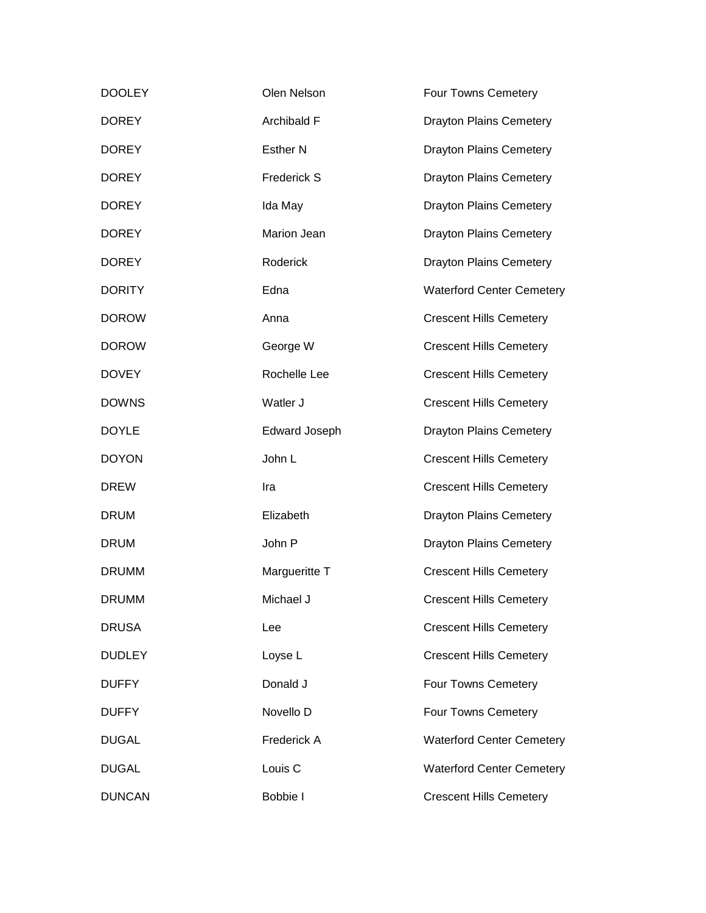| <b>DOOLEY</b> | Olen Nelson        | Four Towns Cemetery              |
|---------------|--------------------|----------------------------------|
| <b>DOREY</b>  | Archibald F        | <b>Drayton Plains Cemetery</b>   |
| <b>DOREY</b>  | <b>Esther N</b>    | <b>Drayton Plains Cemetery</b>   |
| <b>DOREY</b>  | <b>Frederick S</b> | <b>Drayton Plains Cemetery</b>   |
| <b>DOREY</b>  | Ida May            | <b>Drayton Plains Cemetery</b>   |
| <b>DOREY</b>  | Marion Jean        | <b>Drayton Plains Cemetery</b>   |
| <b>DOREY</b>  | Roderick           | <b>Drayton Plains Cemetery</b>   |
| <b>DORITY</b> | Edna               | <b>Waterford Center Cemetery</b> |
| <b>DOROW</b>  | Anna               | <b>Crescent Hills Cemetery</b>   |
| <b>DOROW</b>  | George W           | <b>Crescent Hills Cemetery</b>   |
| <b>DOVEY</b>  | Rochelle Lee       | <b>Crescent Hills Cemetery</b>   |
| <b>DOWNS</b>  | Watler J           | <b>Crescent Hills Cemetery</b>   |
| <b>DOYLE</b>  | Edward Joseph      | <b>Drayton Plains Cemetery</b>   |
| <b>DOYON</b>  | John L             | <b>Crescent Hills Cemetery</b>   |
| <b>DREW</b>   | Ira                | <b>Crescent Hills Cemetery</b>   |
| <b>DRUM</b>   | Elizabeth          | <b>Drayton Plains Cemetery</b>   |
| <b>DRUM</b>   | John P             | <b>Drayton Plains Cemetery</b>   |
| <b>DRUMM</b>  | Margueritte T      | <b>Crescent Hills Cemetery</b>   |
| <b>DRUMM</b>  | Michael J          | <b>Crescent Hills Cemetery</b>   |
| <b>DRUSA</b>  | Lee                | <b>Crescent Hills Cemetery</b>   |
| <b>DUDLEY</b> | Loyse L            | <b>Crescent Hills Cemetery</b>   |
| <b>DUFFY</b>  | Donald J           | Four Towns Cemetery              |
| <b>DUFFY</b>  | Novello D          | Four Towns Cemetery              |
| <b>DUGAL</b>  | Frederick A        | <b>Waterford Center Cemetery</b> |
|               |                    |                                  |
| <b>DUGAL</b>  | Louis <sub>C</sub> | <b>Waterford Center Cemetery</b> |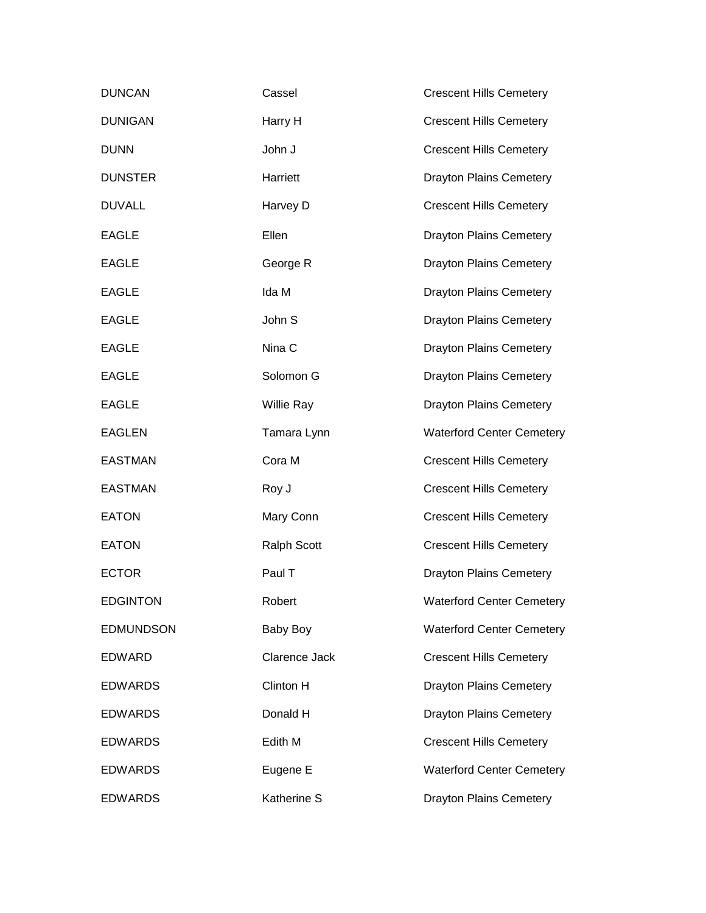| <b>DUNCAN</b>    | Cassel             | <b>Crescent Hills Cemetery</b>   |
|------------------|--------------------|----------------------------------|
| <b>DUNIGAN</b>   | Harry H            | <b>Crescent Hills Cemetery</b>   |
| <b>DUNN</b>      | John J             | <b>Crescent Hills Cemetery</b>   |
| <b>DUNSTER</b>   | Harriett           | <b>Drayton Plains Cemetery</b>   |
| <b>DUVALL</b>    | Harvey D           | <b>Crescent Hills Cemetery</b>   |
| <b>EAGLE</b>     | Ellen              | <b>Drayton Plains Cemetery</b>   |
| <b>EAGLE</b>     | George R           | <b>Drayton Plains Cemetery</b>   |
| <b>EAGLE</b>     | Ida M              | <b>Drayton Plains Cemetery</b>   |
| <b>EAGLE</b>     | John S             | <b>Drayton Plains Cemetery</b>   |
| <b>EAGLE</b>     | Nina C             | <b>Drayton Plains Cemetery</b>   |
| <b>EAGLE</b>     | Solomon G          | <b>Drayton Plains Cemetery</b>   |
| <b>EAGLE</b>     | <b>Willie Ray</b>  | <b>Drayton Plains Cemetery</b>   |
| <b>EAGLEN</b>    | Tamara Lynn        | <b>Waterford Center Cemetery</b> |
| <b>EASTMAN</b>   | Cora M             | <b>Crescent Hills Cemetery</b>   |
| <b>EASTMAN</b>   | Roy J              | <b>Crescent Hills Cemetery</b>   |
| <b>EATON</b>     | Mary Conn          | <b>Crescent Hills Cemetery</b>   |
| <b>EATON</b>     | <b>Ralph Scott</b> | <b>Crescent Hills Cemetery</b>   |
| <b>ECTOR</b>     | Paul T             | <b>Drayton Plains Cemetery</b>   |
| <b>EDGINTON</b>  | Robert             | <b>Waterford Center Cemetery</b> |
| <b>EDMUNDSON</b> | Baby Boy           | <b>Waterford Center Cemetery</b> |
| <b>EDWARD</b>    | Clarence Jack      | <b>Crescent Hills Cemetery</b>   |
| <b>EDWARDS</b>   | Clinton H          | <b>Drayton Plains Cemetery</b>   |
| <b>EDWARDS</b>   | Donald H           | <b>Drayton Plains Cemetery</b>   |
| <b>EDWARDS</b>   | Edith M            | <b>Crescent Hills Cemetery</b>   |
| <b>EDWARDS</b>   | Eugene E           | <b>Waterford Center Cemetery</b> |
| <b>EDWARDS</b>   | Katherine S        | <b>Drayton Plains Cemetery</b>   |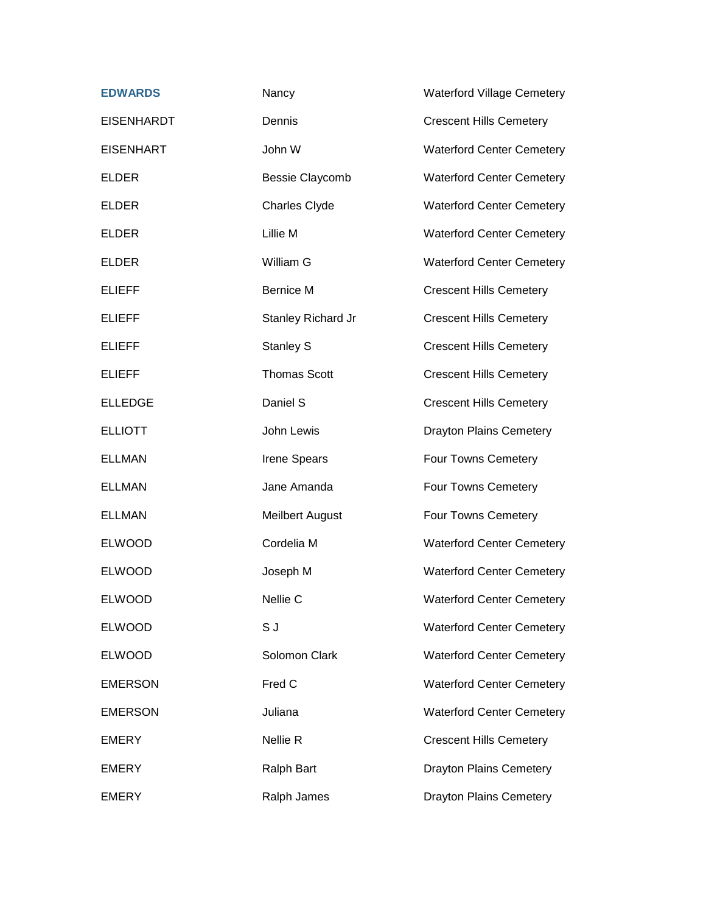| <b>EDWARDS</b>    | Nancy                  | <b>Waterford Village Cemetery</b> |
|-------------------|------------------------|-----------------------------------|
| <b>EISENHARDT</b> | Dennis                 | <b>Crescent Hills Cemetery</b>    |
| <b>EISENHART</b>  | John W                 | <b>Waterford Center Cemetery</b>  |
| <b>ELDER</b>      | <b>Bessie Claycomb</b> | <b>Waterford Center Cemetery</b>  |
| <b>ELDER</b>      | <b>Charles Clyde</b>   | <b>Waterford Center Cemetery</b>  |
| <b>ELDER</b>      | Lillie M               | <b>Waterford Center Cemetery</b>  |
| <b>ELDER</b>      | William G              | <b>Waterford Center Cemetery</b>  |
| <b>ELIEFF</b>     | <b>Bernice M</b>       | <b>Crescent Hills Cemetery</b>    |
| <b>ELIEFF</b>     | Stanley Richard Jr     | <b>Crescent Hills Cemetery</b>    |
| <b>ELIEFF</b>     | Stanley S              | <b>Crescent Hills Cemetery</b>    |
| <b>ELIEFF</b>     | <b>Thomas Scott</b>    | <b>Crescent Hills Cemetery</b>    |
| <b>ELLEDGE</b>    | Daniel S               | <b>Crescent Hills Cemetery</b>    |
| <b>ELLIOTT</b>    | John Lewis             | <b>Drayton Plains Cemetery</b>    |
| <b>ELLMAN</b>     | Irene Spears           | Four Towns Cemetery               |
| <b>ELLMAN</b>     | Jane Amanda            | Four Towns Cemetery               |
| <b>ELLMAN</b>     | <b>Meilbert August</b> | Four Towns Cemetery               |
| <b>ELWOOD</b>     | Cordelia M             | <b>Waterford Center Cemetery</b>  |
| <b>ELWOOD</b>     | Joseph M               | <b>Waterford Center Cemetery</b>  |
| <b>ELWOOD</b>     | Nellie C               | <b>Waterford Center Cemetery</b>  |
| <b>ELWOOD</b>     | S J                    | <b>Waterford Center Cemetery</b>  |
| <b>ELWOOD</b>     | Solomon Clark          | <b>Waterford Center Cemetery</b>  |
| <b>EMERSON</b>    | Fred C                 | <b>Waterford Center Cemetery</b>  |
| <b>EMERSON</b>    | Juliana                | <b>Waterford Center Cemetery</b>  |
| <b>EMERY</b>      | Nellie R               | <b>Crescent Hills Cemetery</b>    |
| <b>EMERY</b>      | <b>Ralph Bart</b>      | <b>Drayton Plains Cemetery</b>    |
| <b>EMERY</b>      | Ralph James            | <b>Drayton Plains Cemetery</b>    |